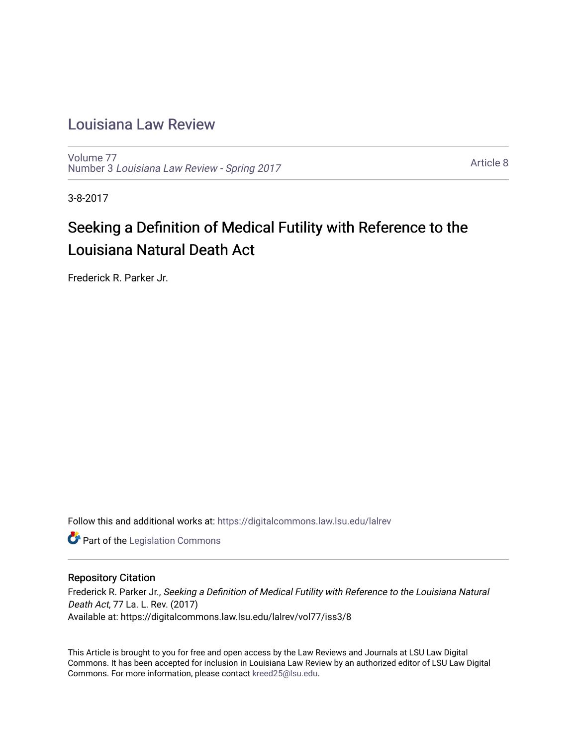## [Louisiana Law Review](https://digitalcommons.law.lsu.edu/lalrev)

[Volume 77](https://digitalcommons.law.lsu.edu/lalrev/vol77) Number 3 [Louisiana Law Review - Spring 2017](https://digitalcommons.law.lsu.edu/lalrev/vol77/iss3) 

[Article 8](https://digitalcommons.law.lsu.edu/lalrev/vol77/iss3/8) 

3-8-2017

# Seeking a Definition of Medical Futility with Reference to the Louisiana Natural Death Act

Frederick R. Parker Jr.

Follow this and additional works at: [https://digitalcommons.law.lsu.edu/lalrev](https://digitalcommons.law.lsu.edu/lalrev?utm_source=digitalcommons.law.lsu.edu%2Flalrev%2Fvol77%2Fiss3%2F8&utm_medium=PDF&utm_campaign=PDFCoverPages)

**Part of the [Legislation Commons](http://network.bepress.com/hgg/discipline/859?utm_source=digitalcommons.law.lsu.edu%2Flalrev%2Fvol77%2Fiss3%2F8&utm_medium=PDF&utm_campaign=PDFCoverPages)** 

#### Repository Citation

Frederick R. Parker Jr., Seeking a Definition of Medical Futility with Reference to the Louisiana Natural Death Act, 77 La. L. Rev. (2017) Available at: https://digitalcommons.law.lsu.edu/lalrev/vol77/iss3/8

This Article is brought to you for free and open access by the Law Reviews and Journals at LSU Law Digital Commons. It has been accepted for inclusion in Louisiana Law Review by an authorized editor of LSU Law Digital Commons. For more information, please contact [kreed25@lsu.edu](mailto:kreed25@lsu.edu).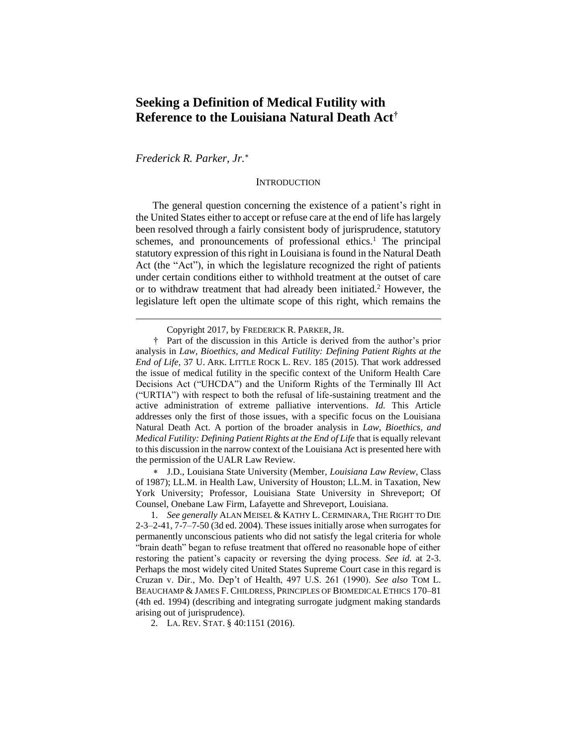### **Seeking a Definition of Medical Futility with Reference to the Louisiana Natural Death Act†**

*Frederick R. Parker, Jr.*

 $\overline{a}$ 

#### **INTRODUCTION**

The general question concerning the existence of a patient's right in the United States either to accept or refuse care at the end of life has largely been resolved through a fairly consistent body of jurisprudence, statutory schemes, and pronouncements of professional ethics.<sup>1</sup> The principal statutory expression of this right in Louisiana is found in the Natural Death Act (the "Act"), in which the legislature recognized the right of patients under certain conditions either to withhold treatment at the outset of care or to withdraw treatment that had already been initiated.<sup>2</sup> However, the legislature left open the ultimate scope of this right, which remains the

 J.D., Louisiana State University (Member, *Louisiana Law Review*, Class of 1987); LL.M. in Health Law, University of Houston; LL.M. in Taxation, New York University; Professor, Louisiana State University in Shreveport; Of Counsel, Onebane Law Firm, Lafayette and Shreveport, Louisiana.

1. *See generally* ALAN MEISEL & KATHY L. CERMINARA, THE RIGHT TO DIE 2-3–2-41, 7-7–7-50 (3d ed. 2004). These issues initially arose when surrogates for permanently unconscious patients who did not satisfy the legal criteria for whole "brain death" began to refuse treatment that offered no reasonable hope of either restoring the patient's capacity or reversing the dying process. *See id.* at 2-3. Perhaps the most widely cited United States Supreme Court case in this regard is Cruzan v. Dir., Mo. Dep't of Health, 497 U.S. 261 (1990). *See also* TOM L. BEAUCHAMP & JAMES F. CHILDRESS, PRINCIPLES OF BIOMEDICAL ETHICS 170–81 (4th ed. 1994) (describing and integrating surrogate judgment making standards arising out of jurisprudence).

2. LA. REV. STAT. § 40:1151 (2016).

Copyright 2017, by FREDERICK R. PARKER, JR.

<sup>†</sup> Part of the discussion in this Article is derived from the author's prior analysis in *Law, Bioethics, and Medical Futility: Defining Patient Rights at the End of Life*, 37 U. ARK. LITTLE ROCK L. REV. 185 (2015). That work addressed the issue of medical futility in the specific context of the Uniform Health Care Decisions Act ("UHCDA") and the Uniform Rights of the Terminally Ill Act ("URTIA") with respect to both the refusal of life-sustaining treatment and the active administration of extreme palliative interventions. *Id.* This Article addresses only the first of those issues, with a specific focus on the Louisiana Natural Death Act. A portion of the broader analysis in *Law, Bioethics, and Medical Futility: Defining Patient Rights at the End of Life* that is equally relevant to this discussion in the narrow context of the Louisiana Act is presented here with the permission of the UALR Law Review.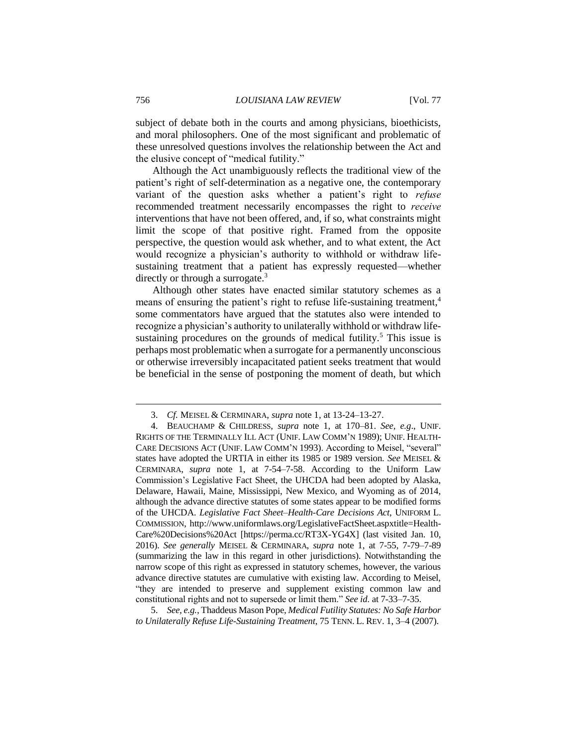subject of debate both in the courts and among physicians, bioethicists, and moral philosophers. One of the most significant and problematic of these unresolved questions involves the relationship between the Act and the elusive concept of "medical futility."

Although the Act unambiguously reflects the traditional view of the patient's right of self-determination as a negative one, the contemporary variant of the question asks whether a patient's right to *refuse*  recommended treatment necessarily encompasses the right to *receive*  interventions that have not been offered, and, if so, what constraints might limit the scope of that positive right. Framed from the opposite perspective, the question would ask whether, and to what extent, the Act would recognize a physician's authority to withhold or withdraw lifesustaining treatment that a patient has expressly requested—whether directly or through a surrogate. $3$ 

Although other states have enacted similar statutory schemes as a means of ensuring the patient's right to refuse life-sustaining treatment,<sup>4</sup> some commentators have argued that the statutes also were intended to recognize a physician's authority to unilaterally withhold or withdraw lifesustaining procedures on the grounds of medical futility.<sup>5</sup> This issue is perhaps most problematic when a surrogate for a permanently unconscious or otherwise irreversibly incapacitated patient seeks treatment that would be beneficial in the sense of postponing the moment of death, but which

5. *See, e.g.*, Thaddeus Mason Pope, *Medical Futility Statutes: No Safe Harbor to Unilaterally Refuse Life-Sustaining Treatment*, 75 TENN. L. REV. 1, 3–4 (2007).

<sup>3.</sup> *Cf.* MEISEL & CERMINARA, *supra* note 1, at 13-24–13-27.

<sup>4.</sup> BEAUCHAMP & CHILDRESS, *supra* note 1, at 170–81. *See, e.g*., UNIF. RIGHTS OF THE TERMINALLY ILL ACT (UNIF. LAW COMM'N 1989); UNIF. HEALTH-CARE DECISIONS ACT (UNIF. LAW COMM'N 1993). According to Meisel, "several" states have adopted the URTIA in either its 1985 or 1989 version. *See* MEISEL & CERMINARA, *supra* note 1, at 7-54–7-58. According to the Uniform Law Commission's Legislative Fact Sheet, the UHCDA had been adopted by Alaska, Delaware, Hawaii, Maine, Mississippi, New Mexico, and Wyoming as of 2014, although the advance directive statutes of some states appear to be modified forms of the UHCDA. *Legislative Fact Sheet–Health-Care Decisions Act*, UNIFORM L. COMMISSION, http://www.uniformlaws.org/LegislativeFactSheet.aspxtitle=Health-Care%20Decisions%20Act [https://perma.cc/RT3X-YG4X] (last visited Jan. 10, 2016). *See generally* MEISEL & CERMINARA, *supra* note 1, at 7-55, 7-79–7-89 (summarizing the law in this regard in other jurisdictions). Notwithstanding the narrow scope of this right as expressed in statutory schemes, however, the various advance directive statutes are cumulative with existing law. According to Meisel, "they are intended to preserve and supplement existing common law and constitutional rights and not to supersede or limit them." *See id.* at 7-33–7-35.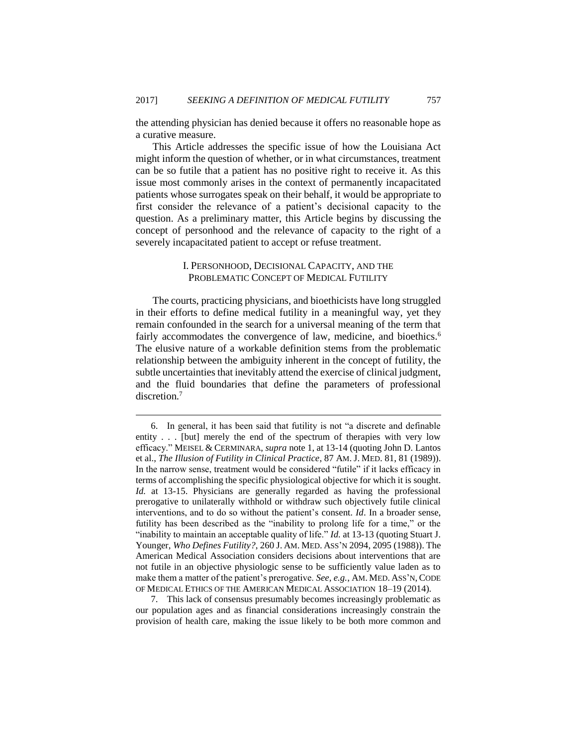the attending physician has denied because it offers no reasonable hope as a curative measure.

This Article addresses the specific issue of how the Louisiana Act might inform the question of whether, or in what circumstances, treatment can be so futile that a patient has no positive right to receive it. As this issue most commonly arises in the context of permanently incapacitated patients whose surrogates speak on their behalf, it would be appropriate to first consider the relevance of a patient's decisional capacity to the question. As a preliminary matter, this Article begins by discussing the concept of personhood and the relevance of capacity to the right of a severely incapacitated patient to accept or refuse treatment.

#### I. PERSONHOOD, DECISIONAL CAPACITY, AND THE PROBLEMATIC CONCEPT OF MEDICAL FUTILITY

The courts, practicing physicians, and bioethicists have long struggled in their efforts to define medical futility in a meaningful way, yet they remain confounded in the search for a universal meaning of the term that fairly accommodates the convergence of law, medicine, and bioethics.<sup>6</sup> The elusive nature of a workable definition stems from the problematic relationship between the ambiguity inherent in the concept of futility, the subtle uncertainties that inevitably attend the exercise of clinical judgment, and the fluid boundaries that define the parameters of professional discretion.<sup>7</sup>

 $\overline{a}$ 

7. This lack of consensus presumably becomes increasingly problematic as our population ages and as financial considerations increasingly constrain the provision of health care, making the issue likely to be both more common and

<sup>6.</sup> In general, it has been said that futility is not "a discrete and definable entity . . . [but] merely the end of the spectrum of therapies with very low efficacy." MEISEL & CERMINARA, *supra* note 1, at 13-14 (quoting John D. Lantos et al., *The Illusion of Futility in Clinical Practice*, 87 AM. J. MED. 81, 81 (1989)). In the narrow sense, treatment would be considered "futile" if it lacks efficacy in terms of accomplishing the specific physiological objective for which it is sought. *Id.* at 13-15. Physicians are generally regarded as having the professional prerogative to unilaterally withhold or withdraw such objectively futile clinical interventions, and to do so without the patient's consent. *Id*. In a broader sense, futility has been described as the "inability to prolong life for a time," or the "inability to maintain an acceptable quality of life." *Id.* at 13-13 (quoting Stuart J. Younger, *Who Defines Futility?*, 260 J. AM. MED. ASS'N 2094, 2095 (1988)). The American Medical Association considers decisions about interventions that are not futile in an objective physiologic sense to be sufficiently value laden as to make them a matter of the patient's prerogative. *See, e.g.*, AM. MED. ASS'N, CODE OF MEDICAL ETHICS OF THE AMERICAN MEDICAL ASSOCIATION 18–19 (2014).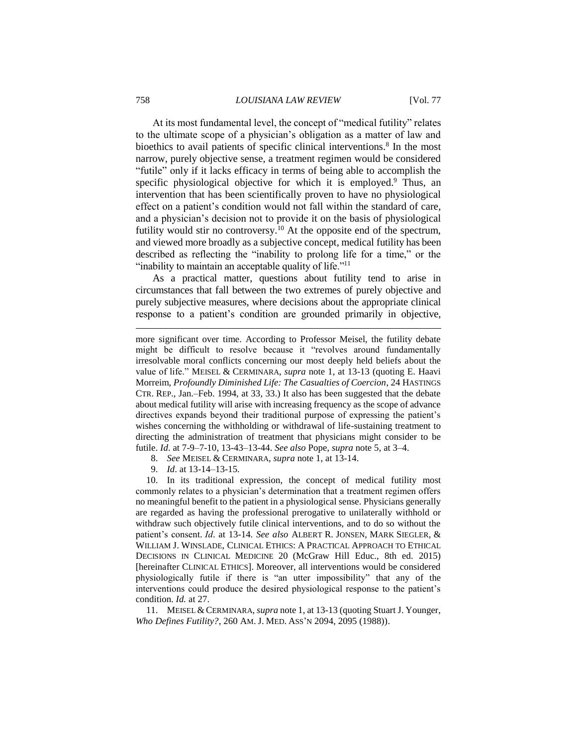At its most fundamental level, the concept of "medical futility" relates to the ultimate scope of a physician's obligation as a matter of law and bioethics to avail patients of specific clinical interventions.<sup>8</sup> In the most narrow, purely objective sense, a treatment regimen would be considered "futile" only if it lacks efficacy in terms of being able to accomplish the specific physiological objective for which it is employed.<sup>9</sup> Thus, an intervention that has been scientifically proven to have no physiological effect on a patient's condition would not fall within the standard of care, and a physician's decision not to provide it on the basis of physiological futility would stir no controversy.<sup>10</sup> At the opposite end of the spectrum, and viewed more broadly as a subjective concept, medical futility has been described as reflecting the "inability to prolong life for a time," or the "inability to maintain an acceptable quality of life."<sup>11</sup>

As a practical matter, questions about futility tend to arise in circumstances that fall between the two extremes of purely objective and purely subjective measures, where decisions about the appropriate clinical response to a patient's condition are grounded primarily in objective,

8. *See* MEISEL & CERMINARA, *supra* note 1, at 13-14.

9. *Id*. at 13-14–13-15.

10. In its traditional expression, the concept of medical futility most commonly relates to a physician's determination that a treatment regimen offers no meaningful benefit to the patient in a physiological sense. Physicians generally are regarded as having the professional prerogative to unilaterally withhold or withdraw such objectively futile clinical interventions, and to do so without the patient's consent. *Id*. at 13-14. *See also* ALBERT R. JONSEN, MARK SIEGLER, & WILLIAM J. WINSLADE, CLINICAL ETHICS: A PRACTICAL APPROACH TO ETHICAL DECISIONS IN CLINICAL MEDICINE 20 (McGraw Hill Educ., 8th ed. 2015) [hereinafter CLINICAL ETHICS]. Moreover, all interventions would be considered physiologically futile if there is "an utter impossibility" that any of the interventions could produce the desired physiological response to the patient's condition. *Id.* at 27.

11. MEISEL &CERMINARA, *supra* note 1, at 13-13 (quoting Stuart J. Younger, *Who Defines Futility?*, 260 AM. J. MED. ASS'N 2094, 2095 (1988)).

more significant over time. According to Professor Meisel, the futility debate might be difficult to resolve because it "revolves around fundamentally irresolvable moral conflicts concerning our most deeply held beliefs about the value of life." MEISEL & CERMINARA, *supra* note 1, at 13-13 (quoting E. Haavi Morreim, *Profoundly Diminished Life: The Casualties of Coercion*, 24 HASTINGS CTR. REP., Jan.–Feb. 1994, at 33, 33.) It also has been suggested that the debate about medical futility will arise with increasing frequency as the scope of advance directives expands beyond their traditional purpose of expressing the patient's wishes concerning the withholding or withdrawal of life-sustaining treatment to directing the administration of treatment that physicians might consider to be futile. *Id*. at 7-9–7-10, 13-43–13-44. *See also* Pope, *supra* note 5, at 3–4.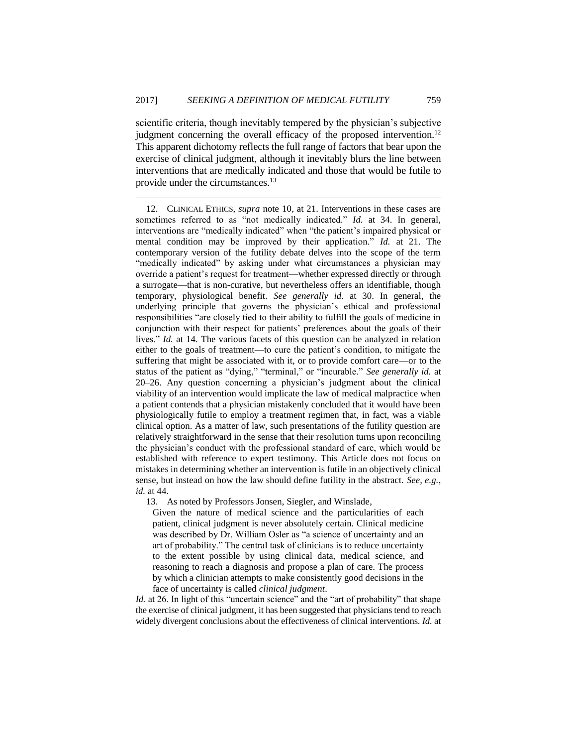$\overline{a}$ 

scientific criteria, though inevitably tempered by the physician's subjective judgment concerning the overall efficacy of the proposed intervention.<sup>12</sup> This apparent dichotomy reflects the full range of factors that bear upon the exercise of clinical judgment, although it inevitably blurs the line between interventions that are medically indicated and those that would be futile to provide under the circumstances.<sup>13</sup>

13. As noted by Professors Jonsen, Siegler, and Winslade,

Given the nature of medical science and the particularities of each patient, clinical judgment is never absolutely certain. Clinical medicine was described by Dr. William Osler as "a science of uncertainty and an art of probability." The central task of clinicians is to reduce uncertainty to the extent possible by using clinical data, medical science, and reasoning to reach a diagnosis and propose a plan of care. The process by which a clinician attempts to make consistently good decisions in the face of uncertainty is called *clinical judgment*.

*Id.* at 26. In light of this "uncertain science" and the "art of probability" that shape the exercise of clinical judgment, it has been suggested that physicians tend to reach widely divergent conclusions about the effectiveness of clinical interventions. *Id.* at

<sup>12.</sup> CLINICAL ETHICS, *supra* note 10, at 21. Interventions in these cases are sometimes referred to as "not medically indicated." *Id.* at 34. In general, interventions are "medically indicated" when "the patient's impaired physical or mental condition may be improved by their application." *Id.* at 21. The contemporary version of the futility debate delves into the scope of the term "medically indicated" by asking under what circumstances a physician may override a patient's request for treatment—whether expressed directly or through a surrogate—that is non-curative, but nevertheless offers an identifiable, though temporary, physiological benefit. *See generally id.* at 30. In general, the underlying principle that governs the physician's ethical and professional responsibilities "are closely tied to their ability to fulfill the goals of medicine in conjunction with their respect for patients' preferences about the goals of their lives." *Id.* at 14. The various facets of this question can be analyzed in relation either to the goals of treatment—to cure the patient's condition, to mitigate the suffering that might be associated with it, or to provide comfort care—or to the status of the patient as "dying," "terminal," or "incurable." *See generally id.* at 20–26. Any question concerning a physician's judgment about the clinical viability of an intervention would implicate the law of medical malpractice when a patient contends that a physician mistakenly concluded that it would have been physiologically futile to employ a treatment regimen that, in fact, was a viable clinical option. As a matter of law, such presentations of the futility question are relatively straightforward in the sense that their resolution turns upon reconciling the physician's conduct with the professional standard of care, which would be established with reference to expert testimony. This Article does not focus on mistakes in determining whether an intervention is futile in an objectively clinical sense, but instead on how the law should define futility in the abstract. *See, e.g.*, *id.* at 44.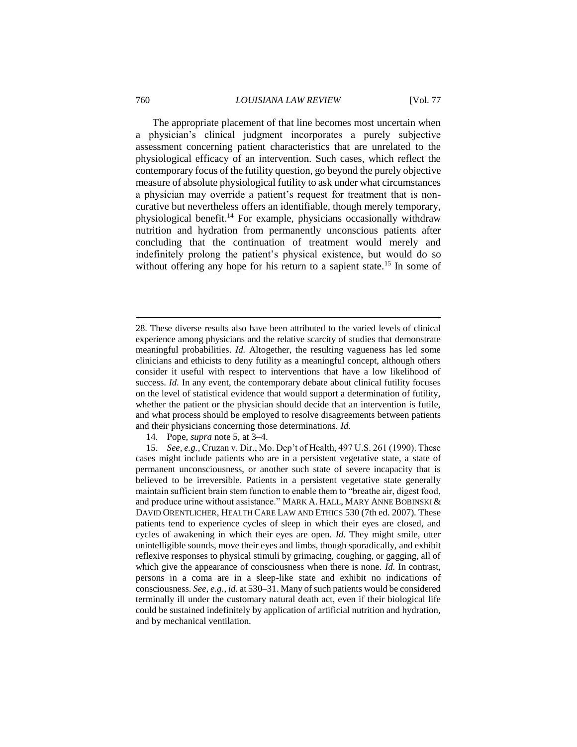The appropriate placement of that line becomes most uncertain when a physician's clinical judgment incorporates a purely subjective assessment concerning patient characteristics that are unrelated to the physiological efficacy of an intervention. Such cases, which reflect the contemporary focus of the futility question, go beyond the purely objective measure of absolute physiological futility to ask under what circumstances a physician may override a patient's request for treatment that is noncurative but nevertheless offers an identifiable, though merely temporary, physiological benefit.<sup>14</sup> For example, physicians occasionally withdraw nutrition and hydration from permanently unconscious patients after concluding that the continuation of treatment would merely and indefinitely prolong the patient's physical existence, but would do so without offering any hope for his return to a sapient state.<sup>15</sup> In some of

<sup>28.</sup> These diverse results also have been attributed to the varied levels of clinical experience among physicians and the relative scarcity of studies that demonstrate meaningful probabilities. *Id.* Altogether, the resulting vagueness has led some clinicians and ethicists to deny futility as a meaningful concept, although others consider it useful with respect to interventions that have a low likelihood of success. *Id.* In any event, the contemporary debate about clinical futility focuses on the level of statistical evidence that would support a determination of futility, whether the patient or the physician should decide that an intervention is futile, and what process should be employed to resolve disagreements between patients and their physicians concerning those determinations. *Id.*

<sup>14.</sup> Pope, *supra* note 5, at 3–4.

<sup>15.</sup> *See, e.g.*, Cruzan v. Dir., Mo. Dep't of Health, 497 U.S. 261 (1990). These cases might include patients who are in a persistent vegetative state, a state of permanent unconsciousness, or another such state of severe incapacity that is believed to be irreversible. Patients in a persistent vegetative state generally maintain sufficient brain stem function to enable them to "breathe air, digest food, and produce urine without assistance." MARK A. HALL, MARY ANNE BOBINSKI & DAVID ORENTLICHER, HEALTH CARE LAW AND ETHICS 530 (7th ed. 2007). These patients tend to experience cycles of sleep in which their eyes are closed, and cycles of awakening in which their eyes are open. *Id.* They might smile, utter unintelligible sounds, move their eyes and limbs, though sporadically, and exhibit reflexive responses to physical stimuli by grimacing, coughing, or gagging, all of which give the appearance of consciousness when there is none. *Id.* In contrast, persons in a coma are in a sleep-like state and exhibit no indications of consciousness. *See, e.g.*, *id.* at 530–31. Many of such patients would be considered terminally ill under the customary natural death act, even if their biological life could be sustained indefinitely by application of artificial nutrition and hydration, and by mechanical ventilation.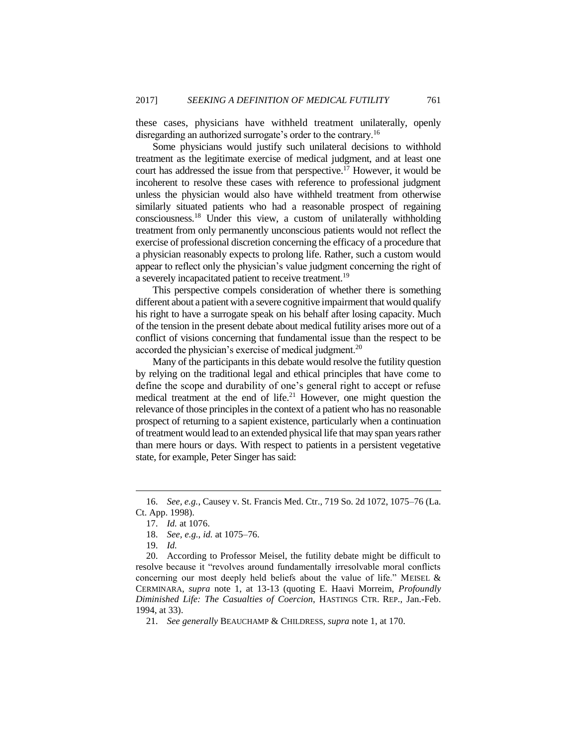these cases, physicians have withheld treatment unilaterally, openly disregarding an authorized surrogate's order to the contrary.<sup>16</sup>

Some physicians would justify such unilateral decisions to withhold treatment as the legitimate exercise of medical judgment, and at least one court has addressed the issue from that perspective. <sup>17</sup> However, it would be incoherent to resolve these cases with reference to professional judgment unless the physician would also have withheld treatment from otherwise similarly situated patients who had a reasonable prospect of regaining consciousness.<sup>18</sup> Under this view, a custom of unilaterally withholding treatment from only permanently unconscious patients would not reflect the exercise of professional discretion concerning the efficacy of a procedure that a physician reasonably expects to prolong life. Rather, such a custom would appear to reflect only the physician's value judgment concerning the right of a severely incapacitated patient to receive treatment.<sup>19</sup>

This perspective compels consideration of whether there is something different about a patient with a severe cognitive impairment that would qualify his right to have a surrogate speak on his behalf after losing capacity. Much of the tension in the present debate about medical futility arises more out of a conflict of visions concerning that fundamental issue than the respect to be accorded the physician's exercise of medical judgment.<sup>20</sup>

Many of the participants in this debate would resolve the futility question by relying on the traditional legal and ethical principles that have come to define the scope and durability of one's general right to accept or refuse medical treatment at the end of life.<sup>21</sup> However, one might question the relevance of those principles in the context of a patient who has no reasonable prospect of returning to a sapient existence, particularly when a continuation of treatment would lead to an extended physical life that may span years rather than mere hours or days. With respect to patients in a persistent vegetative state, for example, Peter Singer has said:

 $\overline{a}$ 

20. According to Professor Meisel, the futility debate might be difficult to resolve because it "revolves around fundamentally irresolvable moral conflicts concerning our most deeply held beliefs about the value of life." MEISEL  $\&$ CERMINARA, *supra* note 1, at 13-13 (quoting E. Haavi Morreim, *Profoundly Diminished Life: The Casualties of Coercion*, HASTINGS CTR. REP., Jan.-Feb. 1994, at 33).

<sup>16.</sup> *See, e.g.*, Causey v. St. Francis Med. Ctr., 719 So. 2d 1072, 1075–76 (La. Ct. App. 1998).

<sup>17.</sup> *Id.* at 1076.

<sup>18.</sup> *See, e.g.*, *id.* at 1075–76.

<sup>19.</sup> *Id.*

<sup>21.</sup> *See generally* BEAUCHAMP & CHILDRESS, *supra* note 1, at 170.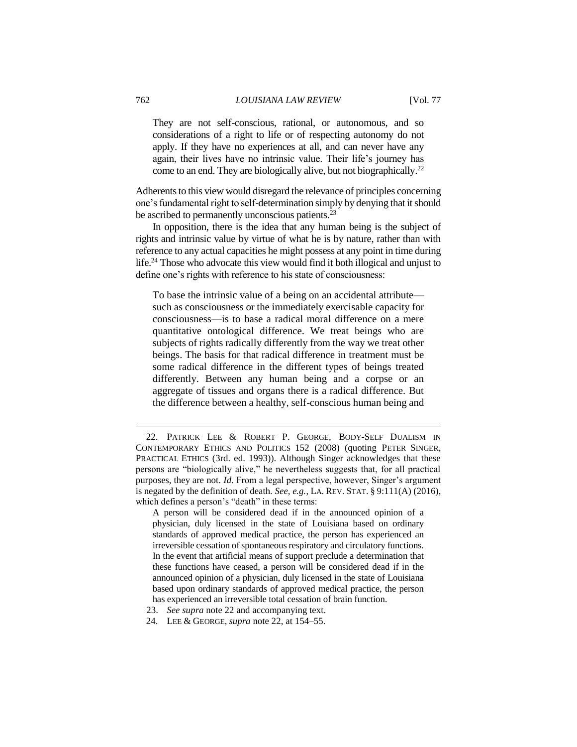They are not self-conscious, rational, or autonomous, and so considerations of a right to life or of respecting autonomy do not apply. If they have no experiences at all, and can never have any again, their lives have no intrinsic value. Their life's journey has come to an end. They are biologically alive, but not biographically.<sup>22</sup>

Adherents to this view would disregard the relevance of principles concerning one's fundamental right to self-determination simply by denying that it should be ascribed to permanently unconscious patients.<sup>23</sup>

In opposition, there is the idea that any human being is the subject of rights and intrinsic value by virtue of what he is by nature, rather than with reference to any actual capacities he might possess at any point in time during life.<sup>24</sup> Those who advocate this view would find it both illogical and unjust to define one's rights with reference to his state of consciousness:

To base the intrinsic value of a being on an accidental attribute such as consciousness or the immediately exercisable capacity for consciousness—is to base a radical moral difference on a mere quantitative ontological difference. We treat beings who are subjects of rights radically differently from the way we treat other beings. The basis for that radical difference in treatment must be some radical difference in the different types of beings treated differently. Between any human being and a corpse or an aggregate of tissues and organs there is a radical difference. But the difference between a healthy, self-conscious human being and

<sup>22.</sup> PATRICK LEE & ROBERT P. GEORGE, BODY-SELF DUALISM IN CONTEMPORARY ETHICS AND POLITICS 152 (2008) (quoting PETER SINGER, PRACTICAL ETHICS (3rd. ed. 1993)). Although Singer acknowledges that these persons are "biologically alive," he nevertheless suggests that, for all practical purposes, they are not. *Id.* From a legal perspective, however, Singer's argument is negated by the definition of death. *See, e.g.*, LA. REV. STAT. § 9:111(A) (2016), which defines a person's "death" in these terms:

A person will be considered dead if in the announced opinion of a physician, duly licensed in the state of Louisiana based on ordinary standards of approved medical practice, the person has experienced an irreversible cessation of spontaneous respiratory and circulatory functions. In the event that artificial means of support preclude a determination that these functions have ceased, a person will be considered dead if in the announced opinion of a physician, duly licensed in the state of Louisiana based upon ordinary standards of approved medical practice, the person has experienced an irreversible total cessation of brain function.

<sup>23.</sup> *See supra* note 22 and accompanying text.

<sup>24.</sup> LEE & GEORGE, *supra* note 22, at 154–55.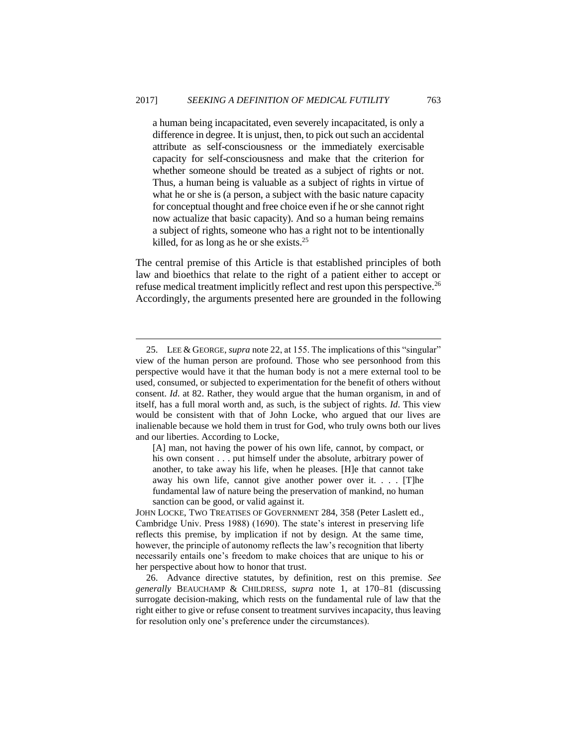a human being incapacitated, even severely incapacitated, is only a difference in degree. It is unjust, then, to pick out such an accidental attribute as self-consciousness or the immediately exercisable capacity for self-consciousness and make that the criterion for whether someone should be treated as a subject of rights or not. Thus, a human being is valuable as a subject of rights in virtue of what he or she is (a person, a subject with the basic nature capacity for conceptual thought and free choice even if he or she cannot right now actualize that basic capacity). And so a human being remains a subject of rights, someone who has a right not to be intentionally killed, for as long as he or she exists.<sup>25</sup>

The central premise of this Article is that established principles of both law and bioethics that relate to the right of a patient either to accept or refuse medical treatment implicitly reflect and rest upon this perspective.<sup>26</sup> Accordingly, the arguments presented here are grounded in the following

<sup>25.</sup> LEE & GEORGE, *supra* note 22, at 155. The implications of this "singular" view of the human person are profound. Those who see personhood from this perspective would have it that the human body is not a mere external tool to be used, consumed, or subjected to experimentation for the benefit of others without consent. *Id*. at 82. Rather, they would argue that the human organism, in and of itself, has a full moral worth and, as such, is the subject of rights. *Id*. This view would be consistent with that of John Locke, who argued that our lives are inalienable because we hold them in trust for God, who truly owns both our lives and our liberties. According to Locke,

<sup>[</sup>A] man, not having the power of his own life, cannot, by compact, or his own consent . . . put himself under the absolute, arbitrary power of another, to take away his life, when he pleases. [H]e that cannot take away his own life, cannot give another power over it. . . . [T]he fundamental law of nature being the preservation of mankind, no human sanction can be good, or valid against it.

JOHN LOCKE, TWO TREATISES OF GOVERNMENT 284, 358 (Peter Laslett ed., Cambridge Univ. Press 1988) (1690). The state's interest in preserving life reflects this premise, by implication if not by design. At the same time, however, the principle of autonomy reflects the law's recognition that liberty necessarily entails one's freedom to make choices that are unique to his or her perspective about how to honor that trust.

<sup>26.</sup> Advance directive statutes, by definition, rest on this premise. *See generally* BEAUCHAMP & CHILDRESS, *supra* note 1, at 170–81 (discussing surrogate decision-making, which rests on the fundamental rule of law that the right either to give or refuse consent to treatment survives incapacity, thus leaving for resolution only one's preference under the circumstances).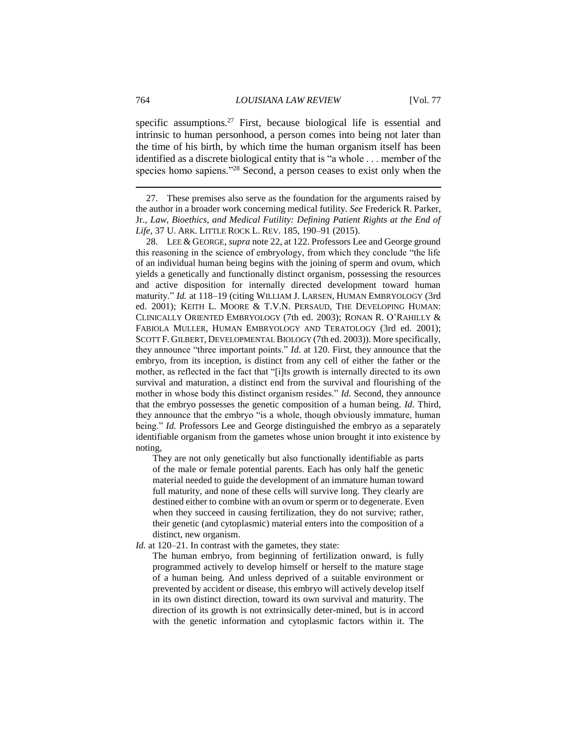specific assumptions.<sup>27</sup> First, because biological life is essential and intrinsic to human personhood, a person comes into being not later than the time of his birth, by which time the human organism itself has been identified as a discrete biological entity that is "a whole . . . member of the species homo sapiens."<sup>28</sup> Second, a person ceases to exist only when the

28. LEE & GEORGE, *supra* note 22, at 122. Professors Lee and George ground this reasoning in the science of embryology, from which they conclude "the life of an individual human being begins with the joining of sperm and ovum, which yields a genetically and functionally distinct organism, possessing the resources and active disposition for internally directed development toward human maturity." *Id.* at 118–19 (citing WILLIAM J. LARSEN, HUMAN EMBRYOLOGY (3rd ed. 2001); KEITH L. MOORE & T.V.N. PERSAUD, THE DEVELOPING HUMAN: CLINICALLY ORIENTED EMBRYOLOGY (7th ed. 2003); RONAN R. O'RAHILLY & FABIOLA MULLER, HUMAN EMBRYOLOGY AND TERATOLOGY (3rd ed. 2001); SCOTT F. GILBERT, DEVELOPMENTAL BIOLOGY (7th ed. 2003)). More specifically, they announce "three important points." *Id.* at 120. First, they announce that the embryo, from its inception, is distinct from any cell of either the father or the mother, as reflected in the fact that "[i]ts growth is internally directed to its own survival and maturation, a distinct end from the survival and flourishing of the mother in whose body this distinct organism resides." *Id.* Second, they announce that the embryo possesses the genetic composition of a human being. *Id.* Third, they announce that the embryo "is a whole, though obviously immature, human being." *Id.* Professors Lee and George distinguished the embryo as a separately identifiable organism from the gametes whose union brought it into existence by noting,

They are not only genetically but also functionally identifiable as parts of the male or female potential parents. Each has only half the genetic material needed to guide the development of an immature human toward full maturity, and none of these cells will survive long. They clearly are destined either to combine with an ovum or sperm or to degenerate. Even when they succeed in causing fertilization, they do not survive; rather, their genetic (and cytoplasmic) material enters into the composition of a distinct, new organism.

*Id.* at 120–21. In contrast with the gametes, they state:

The human embryo, from beginning of fertilization onward, is fully programmed actively to develop himself or herself to the mature stage of a human being. And unless deprived of a suitable environment or prevented by accident or disease, this embryo will actively develop itself in its own distinct direction, toward its own survival and maturity. The direction of its growth is not extrinsically deter-mined, but is in accord with the genetic information and cytoplasmic factors within it. The

<sup>27.</sup> These premises also serve as the foundation for the arguments raised by the author in a broader work concerning medical futility. *See* Frederick R. Parker, Jr., *Law, Bioethics, and Medical Futility: Defining Patient Rights at the End of Life*, 37 U. ARK. LITTLE ROCK L. REV. 185, 190–91 (2015).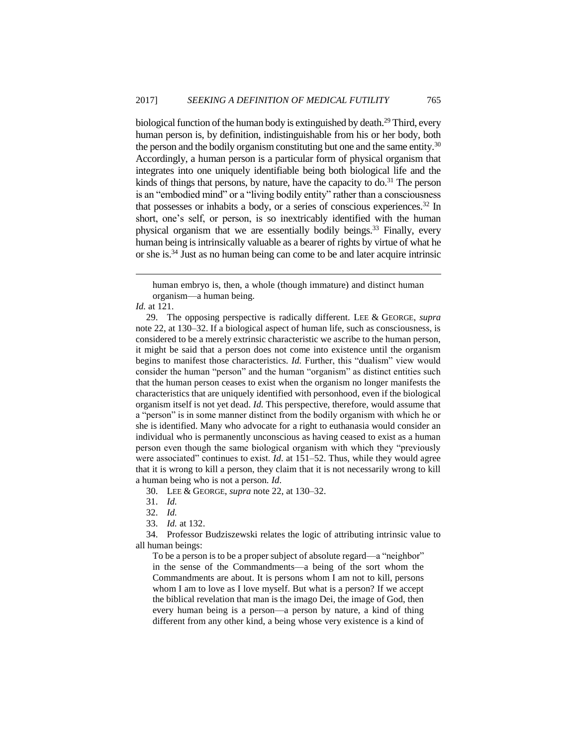biological function of the human body is extinguished by death.<sup>29</sup> Third, every human person is, by definition, indistinguishable from his or her body, both the person and the bodily organism constituting but one and the same entity.<sup>30</sup> Accordingly, a human person is a particular form of physical organism that integrates into one uniquely identifiable being both biological life and the kinds of things that persons, by nature, have the capacity to  $\rm{do}^{31}$ . The person is an "embodied mind" or a "living bodily entity" rather than a consciousness that possesses or inhabits a body, or a series of conscious experiences.<sup>32</sup> In short, one's self, or person, is so inextricably identified with the human physical organism that we are essentially bodily beings.<sup>33</sup> Finally, every human being is intrinsically valuable as a bearer of rights by virtue of what he or she is.<sup>34</sup> Just as no human being can come to be and later acquire intrinsic

 $\overline{a}$ 

29. The opposing perspective is radically different. LEE & GEORGE, *supra*  note 22, at 130–32. If a biological aspect of human life, such as consciousness, is considered to be a merely extrinsic characteristic we ascribe to the human person, it might be said that a person does not come into existence until the organism begins to manifest those characteristics. *Id.* Further, this "dualism" view would consider the human "person" and the human "organism" as distinct entities such that the human person ceases to exist when the organism no longer manifests the characteristics that are uniquely identified with personhood, even if the biological organism itself is not yet dead. *Id.* This perspective, therefore, would assume that a "person" is in some manner distinct from the bodily organism with which he or she is identified. Many who advocate for a right to euthanasia would consider an individual who is permanently unconscious as having ceased to exist as a human person even though the same biological organism with which they "previously were associated" continues to exist. *Id*. at 151–52. Thus, while they would agree that it is wrong to kill a person, they claim that it is not necessarily wrong to kill a human being who is not a person. *Id*.

30. LEE & GEORGE, *supra* note 22, at 130–32.

31. *Id.*

32. *Id.*

33. *Id.* at 132.

34. Professor Budziszewski relates the logic of attributing intrinsic value to all human beings:

To be a person is to be a proper subject of absolute regard—a "neighbor" in the sense of the Commandments—a being of the sort whom the Commandments are about. It is persons whom I am not to kill, persons whom I am to love as I love myself. But what is a person? If we accept the biblical revelation that man is the imago Dei, the image of God, then every human being is a person—a person by nature, a kind of thing different from any other kind, a being whose very existence is a kind of

human embryo is, then, a whole (though immature) and distinct human organism—a human being.

*Id.* at 121.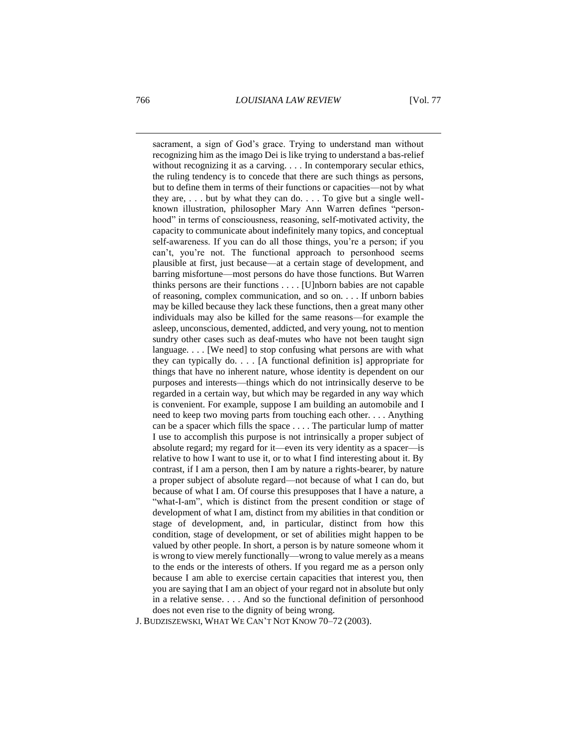sacrament, a sign of God's grace. Trying to understand man without recognizing him as the imago Dei is like trying to understand a bas-relief without recognizing it as a carving. . . . In contemporary secular ethics, the ruling tendency is to concede that there are such things as persons, but to define them in terms of their functions or capacities—not by what they are,  $\dots$  but by what they can do.  $\dots$  To give but a single wellknown illustration, philosopher Mary Ann Warren defines "personhood" in terms of consciousness, reasoning, self-motivated activity, the capacity to communicate about indefinitely many topics, and conceptual self-awareness. If you can do all those things, you're a person; if you can't, you're not. The functional approach to personhood seems plausible at first, just because—at a certain stage of development, and barring misfortune—most persons do have those functions. But Warren thinks persons are their functions . . . . [U]nborn babies are not capable of reasoning, complex communication, and so on. . . . If unborn babies may be killed because they lack these functions, then a great many other individuals may also be killed for the same reasons—for example the asleep, unconscious, demented, addicted, and very young, not to mention sundry other cases such as deaf-mutes who have not been taught sign language. . . . [We need] to stop confusing what persons are with what they can typically do. . . . [A functional definition is] appropriate for things that have no inherent nature, whose identity is dependent on our purposes and interests—things which do not intrinsically deserve to be regarded in a certain way, but which may be regarded in any way which is convenient. For example, suppose I am building an automobile and I need to keep two moving parts from touching each other. . . . Anything can be a spacer which fills the space . . . . The particular lump of matter I use to accomplish this purpose is not intrinsically a proper subject of absolute regard; my regard for it—even its very identity as a spacer—is relative to how I want to use it, or to what I find interesting about it. By contrast, if I am a person, then I am by nature a rights-bearer, by nature a proper subject of absolute regard—not because of what I can do, but because of what I am. Of course this presupposes that I have a nature, a "what-I-am", which is distinct from the present condition or stage of development of what I am, distinct from my abilities in that condition or stage of development, and, in particular, distinct from how this condition, stage of development, or set of abilities might happen to be valued by other people. In short, a person is by nature someone whom it is wrong to view merely functionally—wrong to value merely as a means to the ends or the interests of others. If you regard me as a person only because I am able to exercise certain capacities that interest you, then you are saying that I am an object of your regard not in absolute but only in a relative sense. . . . And so the functional definition of personhood does not even rise to the dignity of being wrong.

J. BUDZISZEWSKI, WHAT WE CAN'T NOT KNOW 70–72 (2003).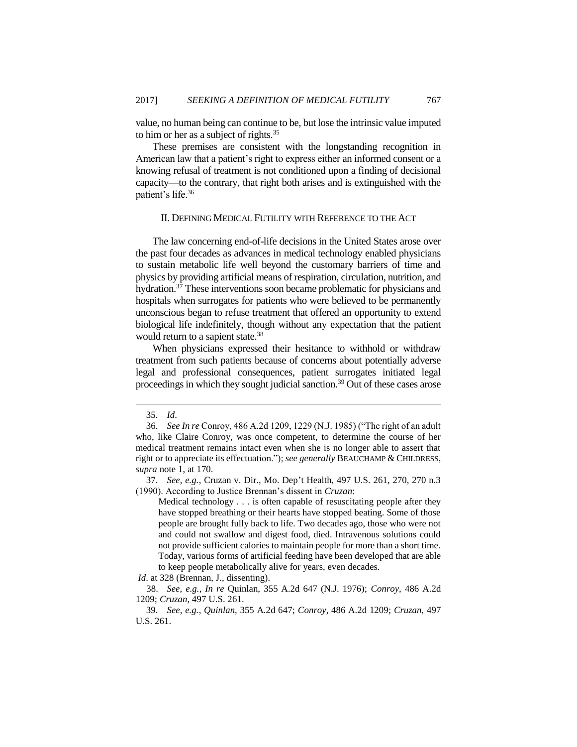value, no human being can continue to be, but lose the intrinsic value imputed to him or her as a subject of rights.<sup>35</sup>

These premises are consistent with the longstanding recognition in American law that a patient's right to express either an informed consent or a knowing refusal of treatment is not conditioned upon a finding of decisional capacity—to the contrary, that right both arises and is extinguished with the patient's life.<sup>36</sup>

#### II. DEFINING MEDICAL FUTILITY WITH REFERENCE TO THE ACT

The law concerning end-of-life decisions in the United States arose over the past four decades as advances in medical technology enabled physicians to sustain metabolic life well beyond the customary barriers of time and physics by providing artificial means of respiration, circulation, nutrition, and hydration.<sup>37</sup> These interventions soon became problematic for physicians and hospitals when surrogates for patients who were believed to be permanently unconscious began to refuse treatment that offered an opportunity to extend biological life indefinitely, though without any expectation that the patient would return to a sapient state.<sup>38</sup>

When physicians expressed their hesitance to withhold or withdraw treatment from such patients because of concerns about potentially adverse legal and professional consequences, patient surrogates initiated legal proceedings in which they sought judicial sanction.<sup>39</sup> Out of these cases arose

 $\overline{a}$ 

Medical technology . . . is often capable of resuscitating people after they have stopped breathing or their hearts have stopped beating. Some of those people are brought fully back to life. Two decades ago, those who were not and could not swallow and digest food, died. Intravenous solutions could not provide sufficient calories to maintain people for more than a short time. Today, various forms of artificial feeding have been developed that are able to keep people metabolically alive for years, even decades.

*Id*. at 328 (Brennan, J., dissenting).

<sup>35.</sup> *Id*.

<sup>36.</sup> *See In re* Conroy, 486 A.2d 1209, 1229 (N.J. 1985) ("The right of an adult who, like Claire Conroy, was once competent, to determine the course of her medical treatment remains intact even when she is no longer able to assert that right or to appreciate its effectuation."); *see generally* BEAUCHAMP & CHILDRESS, *supra* note 1, at 170.

<sup>37.</sup> *See, e.g.*, Cruzan v. Dir., Mo. Dep't Health, 497 U.S. 261, 270, 270 n.3 (1990). According to Justice Brennan's dissent in *Cruzan*:

<sup>38.</sup> *See, e.g.*, *In re* Quinlan, 355 A.2d 647 (N.J. 1976); *Conroy*, 486 A.2d 1209; *Cruzan*, 497 U.S. 261.

<sup>39.</sup> *See, e.g.*, *Quinlan*, 355 A.2d 647; *Conroy*, 486 A.2d 1209; *Cruzan*, 497 U.S. 261.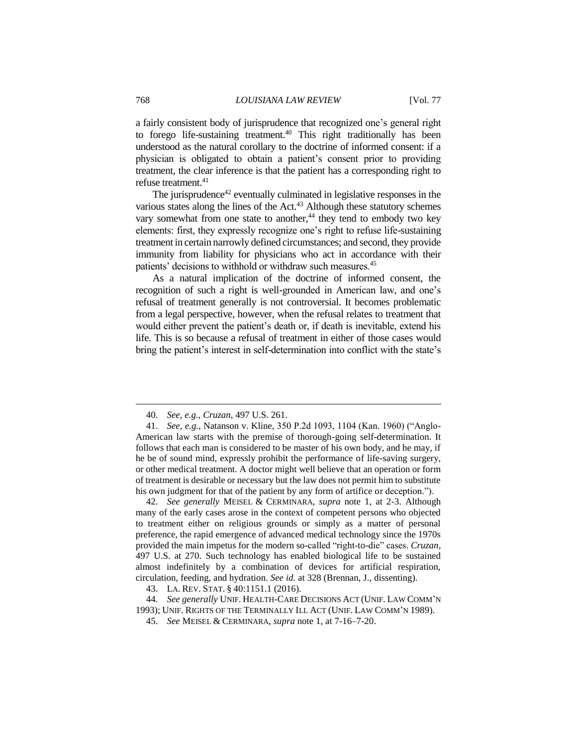a fairly consistent body of jurisprudence that recognized one's general right to forego life-sustaining treatment.<sup>40</sup> This right traditionally has been understood as the natural corollary to the doctrine of informed consent: if a physician is obligated to obtain a patient's consent prior to providing treatment, the clear inference is that the patient has a corresponding right to refuse treatment.<sup>41</sup>

The jurisprudence $42$  eventually culminated in legislative responses in the various states along the lines of the Act. $43$  Although these statutory schemes vary somewhat from one state to another, $44$  they tend to embody two key elements: first, they expressly recognize one's right to refuse life-sustaining treatment in certain narrowly defined circumstances; and second, they provide immunity from liability for physicians who act in accordance with their patients' decisions to withhold or withdraw such measures.<sup>45</sup>

As a natural implication of the doctrine of informed consent, the recognition of such a right is well-grounded in American law, and one's refusal of treatment generally is not controversial. It becomes problematic from a legal perspective, however, when the refusal relates to treatment that would either prevent the patient's death or, if death is inevitable, extend his life. This is so because a refusal of treatment in either of those cases would bring the patient's interest in self-determination into conflict with the state's

42. *See generally* MEISEL & CERMINARA, *supra* note 1, at 2-3. Although many of the early cases arose in the context of competent persons who objected to treatment either on religious grounds or simply as a matter of personal preference, the rapid emergence of advanced medical technology since the 1970s provided the main impetus for the modern so-called "right-to-die" cases. *Cruzan*, 497 U.S. at 270. Such technology has enabled biological life to be sustained almost indefinitely by a combination of devices for artificial respiration, circulation, feeding, and hydration. *See id.* at 328 (Brennan, J., dissenting).

43. LA. REV. STAT. § 40:1151.1 (2016).

44. *See generally* UNIF. HEALTH-CARE DECISIONS ACT (UNIF. LAW COMM'N 1993); UNIF. RIGHTS OF THE TERMINALLY ILL ACT (UNIF. LAW COMM'N 1989).

<sup>40.</sup> *See, e.g.*, *Cruzan*, 497 U.S. 261.

<sup>41.</sup> *See, e.g.*, Natanson v. Kline, 350 P.2d 1093, 1104 (Kan. 1960) ("Anglo-American law starts with the premise of thorough-going self-determination. It follows that each man is considered to be master of his own body, and he may, if he be of sound mind, expressly prohibit the performance of life-saving surgery, or other medical treatment. A doctor might well believe that an operation or form of treatment is desirable or necessary but the law does not permit him to substitute his own judgment for that of the patient by any form of artifice or deception.").

<sup>45.</sup> *See* MEISEL & CERMINARA, *supra* note 1, at 7-16–7-20.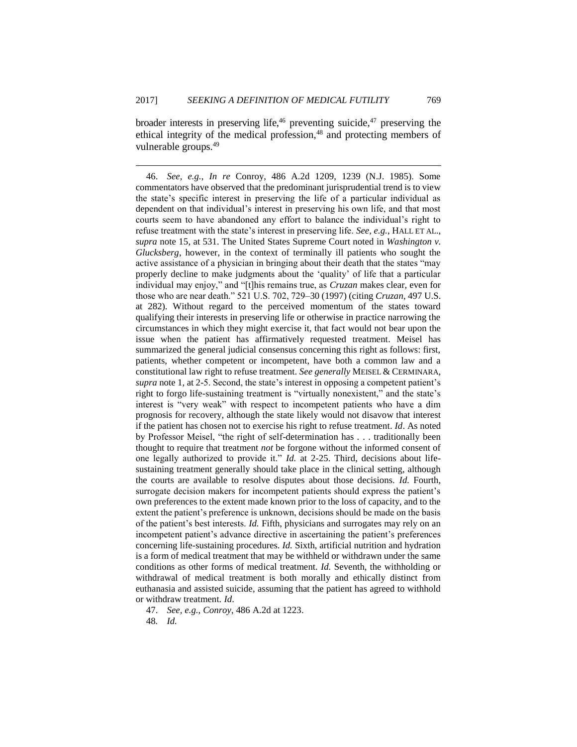broader interests in preserving life, $46$  preventing suicide, $47$  preserving the ethical integrity of the medical profession,<sup>48</sup> and protecting members of vulnerable groups.<sup>49</sup>

47. *See, e.g.*, *Conroy*, 486 A.2d at 1223.

48*. Id.*

<sup>46.</sup> *See, e.g.*, *In re* Conroy, 486 A.2d 1209, 1239 (N.J. 1985). Some commentators have observed that the predominant jurisprudential trend is to view the state's specific interest in preserving the life of a particular individual as dependent on that individual's interest in preserving his own life, and that most courts seem to have abandoned any effort to balance the individual's right to refuse treatment with the state's interest in preserving life. *See, e.g.*, HALL ET AL., *supra* note 15, at 531. The United States Supreme Court noted in *Washington v. Glucksberg*, however, in the context of terminally ill patients who sought the active assistance of a physician in bringing about their death that the states "may properly decline to make judgments about the 'quality' of life that a particular individual may enjoy," and "[t]his remains true, as *Cruzan* makes clear, even for those who are near death." 521 U.S. 702, 729–30 (1997) (citing *Cruzan*, 497 U.S. at 282). Without regard to the perceived momentum of the states toward qualifying their interests in preserving life or otherwise in practice narrowing the circumstances in which they might exercise it, that fact would not bear upon the issue when the patient has affirmatively requested treatment. Meisel has summarized the general judicial consensus concerning this right as follows: first, patients, whether competent or incompetent, have both a common law and a constitutional law right to refuse treatment. *See generally* MEISEL & CERMINARA, *supra* note 1, at 2-5. Second, the state's interest in opposing a competent patient's right to forgo life-sustaining treatment is "virtually nonexistent," and the state's interest is "very weak" with respect to incompetent patients who have a dim prognosis for recovery, although the state likely would not disavow that interest if the patient has chosen not to exercise his right to refuse treatment. *Id*. As noted by Professor Meisel, "the right of self-determination has . . . traditionally been thought to require that treatment *not* be forgone without the informed consent of one legally authorized to provide it." *Id.* at 2-25. Third, decisions about lifesustaining treatment generally should take place in the clinical setting, although the courts are available to resolve disputes about those decisions. *Id.* Fourth, surrogate decision makers for incompetent patients should express the patient's own preferences to the extent made known prior to the loss of capacity, and to the extent the patient's preference is unknown, decisions should be made on the basis of the patient's best interests. *Id.* Fifth, physicians and surrogates may rely on an incompetent patient's advance directive in ascertaining the patient's preferences concerning life-sustaining procedures. *Id.* Sixth, artificial nutrition and hydration is a form of medical treatment that may be withheld or withdrawn under the same conditions as other forms of medical treatment. *Id.* Seventh, the withholding or withdrawal of medical treatment is both morally and ethically distinct from euthanasia and assisted suicide, assuming that the patient has agreed to withhold or withdraw treatment. *Id*.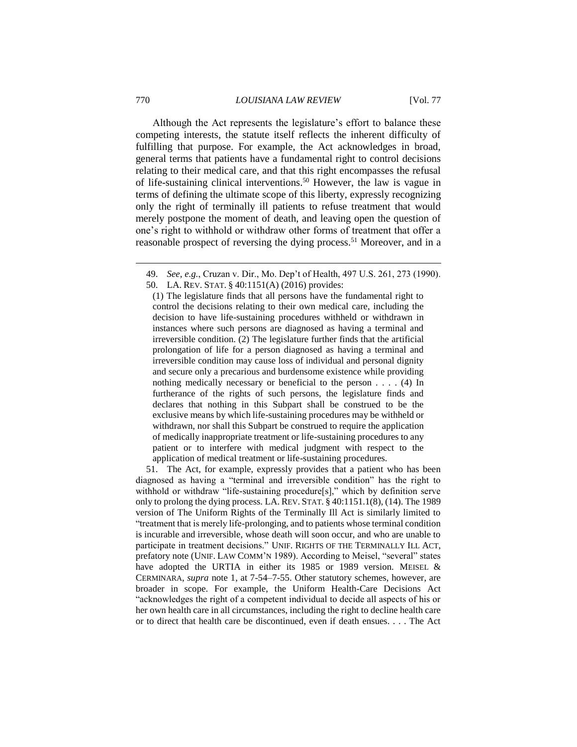Although the Act represents the legislature's effort to balance these competing interests, the statute itself reflects the inherent difficulty of fulfilling that purpose. For example, the Act acknowledges in broad, general terms that patients have a fundamental right to control decisions relating to their medical care, and that this right encompasses the refusal of life-sustaining clinical interventions.<sup>50</sup> However, the law is vague in terms of defining the ultimate scope of this liberty, expressly recognizing only the right of terminally ill patients to refuse treatment that would merely postpone the moment of death, and leaving open the question of one's right to withhold or withdraw other forms of treatment that offer a reasonable prospect of reversing the dying process.<sup>51</sup> Moreover, and in a

51. The Act, for example, expressly provides that a patient who has been diagnosed as having a "terminal and irreversible condition" has the right to withhold or withdraw "life-sustaining procedure[s]," which by definition serve only to prolong the dying process. LA. REV. STAT. § 40:1151.1(8), (14). The 1989 version of The Uniform Rights of the Terminally Ill Act is similarly limited to "treatment that is merely life-prolonging, and to patients whose terminal condition is incurable and irreversible, whose death will soon occur, and who are unable to participate in treatment decisions." UNIF. RIGHTS OF THE TERMINALLY ILL ACT, prefatory note (UNIF. LAW COMM'N 1989). According to Meisel, "several" states have adopted the URTIA in either its 1985 or 1989 version. MEISEL & CERMINARA, *supra* note 1, at 7-54–7-55. Other statutory schemes, however, are broader in scope. For example, the Uniform Health-Care Decisions Act "acknowledges the right of a competent individual to decide all aspects of his or her own health care in all circumstances, including the right to decline health care or to direct that health care be discontinued, even if death ensues. . . . The Act

<sup>49.</sup> *See, e.g.*, Cruzan v. Dir., Mo. Dep't of Health, 497 U.S. 261, 273 (1990). 50. LA. REV. STAT. § 40:1151(A) (2016) provides:

<sup>(1)</sup> The legislature finds that all persons have the fundamental right to control the decisions relating to their own medical care, including the decision to have life-sustaining procedures withheld or withdrawn in instances where such persons are diagnosed as having a terminal and irreversible condition. (2) The legislature further finds that the artificial prolongation of life for a person diagnosed as having a terminal and irreversible condition may cause loss of individual and personal dignity and secure only a precarious and burdensome existence while providing nothing medically necessary or beneficial to the person . . . . (4) In furtherance of the rights of such persons, the legislature finds and declares that nothing in this Subpart shall be construed to be the exclusive means by which life-sustaining procedures may be withheld or withdrawn, nor shall this Subpart be construed to require the application of medically inappropriate treatment or life-sustaining procedures to any patient or to interfere with medical judgment with respect to the application of medical treatment or life-sustaining procedures.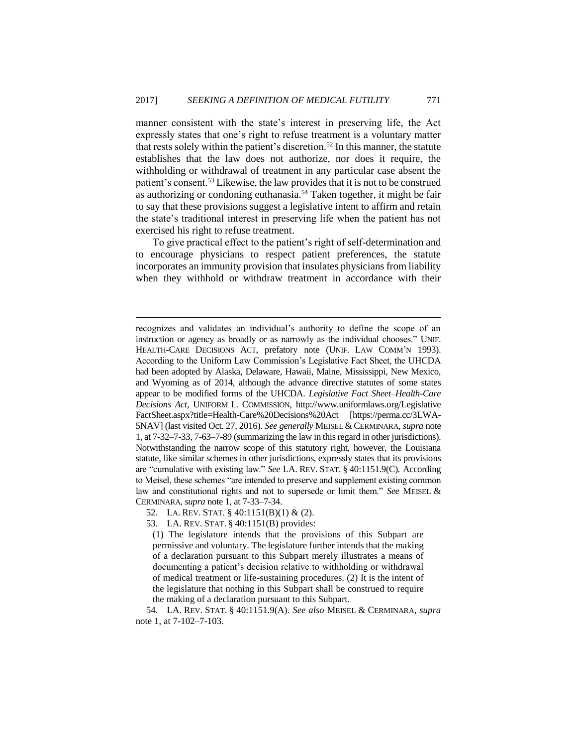manner consistent with the state's interest in preserving life, the Act expressly states that one's right to refuse treatment is a voluntary matter that rests solely within the patient's discretion.<sup>52</sup> In this manner, the statute establishes that the law does not authorize, nor does it require, the withholding or withdrawal of treatment in any particular case absent the patient's consent.<sup>53</sup> Likewise, the law provides that it is not to be construed as authorizing or condoning euthanasia.<sup>54</sup> Taken together, it might be fair to say that these provisions suggest a legislative intent to affirm and retain the state's traditional interest in preserving life when the patient has not exercised his right to refuse treatment.

To give practical effect to the patient's right of self-determination and to encourage physicians to respect patient preferences, the statute incorporates an immunity provision that insulates physicians from liability when they withhold or withdraw treatment in accordance with their

 $\overline{a}$ 

53. LA. REV. STAT. § 40:1151(B) provides:

recognizes and validates an individual's authority to define the scope of an instruction or agency as broadly or as narrowly as the individual chooses." UNIF. HEALTH-CARE DECISIONS ACT, prefatory note (UNIF. LAW COMM'N 1993). According to the Uniform Law Commission's Legislative Fact Sheet, the UHCDA had been adopted by Alaska, Delaware, Hawaii, Maine, Mississippi, New Mexico, and Wyoming as of 2014, although the advance directive statutes of some states appear to be modified forms of the UHCDA. *Legislative Fact Sheet–Health-Care Decisions Act*, UNIFORM L. COMMISSION, http://www.uniformlaws.org/Legislative FactSheet.aspx?title=Health-Care%20Decisions%20Act [https://perma.cc/3LWA-5NAV] (last visited Oct. 27, 2016). *See generally* MEISEL & CERMINARA, *supra* note 1, at 7-32–7-33, 7-63–7-89 (summarizing the law in this regard in other jurisdictions). Notwithstanding the narrow scope of this statutory right, however, the Louisiana statute, like similar schemes in other jurisdictions, expressly states that its provisions are "cumulative with existing law." *See* LA. REV. STAT. § 40:1151.9(C). According to Meisel, these schemes "are intended to preserve and supplement existing common law and constitutional rights and not to supersede or limit them." *See* MEISEL & CERMINARA, *supra* note 1, at 7-33–7-34.

<sup>52.</sup> LA. REV. STAT. § 40:1151(B)(1) & (2).

<sup>(1)</sup> The legislature intends that the provisions of this Subpart are permissive and voluntary. The legislature further intends that the making of a declaration pursuant to this Subpart merely illustrates a means of documenting a patient's decision relative to withholding or withdrawal of medical treatment or life-sustaining procedures. (2) It is the intent of the legislature that nothing in this Subpart shall be construed to require the making of a declaration pursuant to this Subpart.

<sup>54.</sup> LA. REV. STAT. § 40:1151.9(A). *See also* MEISEL & CERMINARA, *supra* note 1, at 7-102–7-103.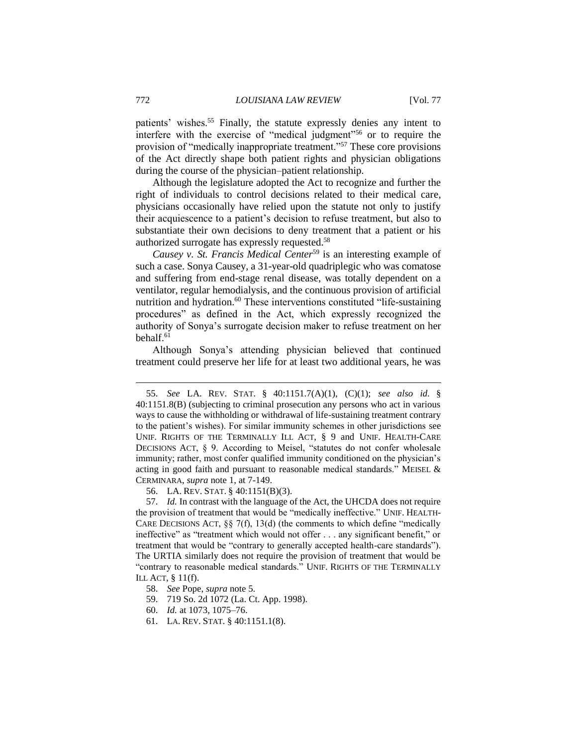patients' wishes.<sup>55</sup> Finally, the statute expressly denies any intent to interfere with the exercise of "medical judgment"<sup>56</sup> or to require the provision of "medically inappropriate treatment."<sup>57</sup> These core provisions of the Act directly shape both patient rights and physician obligations during the course of the physician–patient relationship.

Although the legislature adopted the Act to recognize and further the right of individuals to control decisions related to their medical care, physicians occasionally have relied upon the statute not only to justify their acquiescence to a patient's decision to refuse treatment, but also to substantiate their own decisions to deny treatment that a patient or his authorized surrogate has expressly requested.<sup>58</sup>

*Causey v. St. Francis Medical Center*<sup>59</sup> is an interesting example of such a case. Sonya Causey, a 31-year-old quadriplegic who was comatose and suffering from end-stage renal disease, was totally dependent on a ventilator, regular hemodialysis, and the continuous provision of artificial nutrition and hydration.<sup>60</sup> These interventions constituted "life-sustaining procedures" as defined in the Act, which expressly recognized the authority of Sonya's surrogate decision maker to refuse treatment on her behalf.<sup>61</sup>

Although Sonya's attending physician believed that continued treatment could preserve her life for at least two additional years, he was

56. LA. REV. STAT. § 40:1151(B)(3).

57. *Id.* In contrast with the language of the Act, the UHCDA does not require the provision of treatment that would be "medically ineffective." UNIF. HEALTH-CARE DECISIONS ACT,  $\S\S 7(f)$ , 13(d) (the comments to which define "medically ineffective" as "treatment which would not offer . . . any significant benefit," or treatment that would be "contrary to generally accepted health-care standards"). The URTIA similarly does not require the provision of treatment that would be "contrary to reasonable medical standards." UNIF. RIGHTS OF THE TERMINALLY ILL ACT, § 11(f).

- 59. 719 So. 2d 1072 (La. Ct. App. 1998).
- 60. *Id.* at 1073, 1075–76.
- 61. LA. REV. STAT. § 40:1151.1(8).

<sup>55.</sup> *See* LA. REV. STAT. § 40:1151.7(A)(1), (C)(1); *see also id.* § 40:1151.8(B) (subjecting to criminal prosecution any persons who act in various ways to cause the withholding or withdrawal of life-sustaining treatment contrary to the patient's wishes). For similar immunity schemes in other jurisdictions see UNIF. RIGHTS OF THE TERMINALLY ILL ACT, § 9 and UNIF. HEALTH-CARE DECISIONS ACT, § 9. According to Meisel, "statutes do not confer wholesale immunity; rather, most confer qualified immunity conditioned on the physician's acting in good faith and pursuant to reasonable medical standards." MEISEL & CERMINARA, *supra* note 1, at 7-149.

<sup>58.</sup> *See* Pope, *supra* note 5.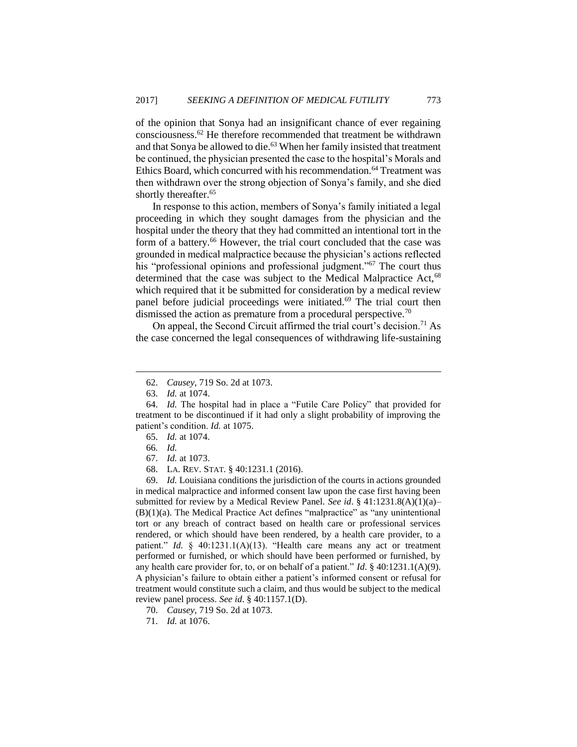of the opinion that Sonya had an insignificant chance of ever regaining consciousness.<sup>62</sup> He therefore recommended that treatment be withdrawn and that Sonya be allowed to die.<sup>63</sup> When her family insisted that treatment be continued, the physician presented the case to the hospital's Morals and Ethics Board, which concurred with his recommendation.<sup>64</sup> Treatment was then withdrawn over the strong objection of Sonya's family, and she died shortly thereafter.<sup>65</sup>

In response to this action, members of Sonya's family initiated a legal proceeding in which they sought damages from the physician and the hospital under the theory that they had committed an intentional tort in the form of a battery.<sup>66</sup> However, the trial court concluded that the case was grounded in medical malpractice because the physician's actions reflected his "professional opinions and professional judgment."<sup>67</sup> The court thus determined that the case was subject to the Medical Malpractice Act,<sup>68</sup> which required that it be submitted for consideration by a medical review panel before judicial proceedings were initiated.<sup>69</sup> The trial court then dismissed the action as premature from a procedural perspective.<sup>70</sup>

On appeal, the Second Circuit affirmed the trial court's decision.<sup>71</sup> As the case concerned the legal consequences of withdrawing life-sustaining

 $\overline{a}$ 

69. *Id.* Louisiana conditions the jurisdiction of the courts in actions grounded in medical malpractice and informed consent law upon the case first having been submitted for review by a Medical Review Panel. *See id*. § 41:1231.8(A)(1)(a)–  $(B)(1)(a)$ . The Medical Practice Act defines "malpractice" as "any unintentional tort or any breach of contract based on health care or professional services rendered, or which should have been rendered, by a health care provider, to a patient." *Id.* § 40:1231.1(A)(13). "Health care means any act or treatment performed or furnished, or which should have been performed or furnished, by any health care provider for, to, or on behalf of a patient." *Id*. § 40:1231.1(A)(9). A physician's failure to obtain either a patient's informed consent or refusal for treatment would constitute such a claim, and thus would be subject to the medical review panel process. *See id*. § 40:1157.1(D).

<sup>62.</sup> *Causey*, 719 So. 2d at 1073.

<sup>63.</sup> *Id.* at 1074.

<sup>64.</sup> *Id.* The hospital had in place a "Futile Care Policy" that provided for treatment to be discontinued if it had only a slight probability of improving the patient's condition. *Id.* at 1075.

<sup>65.</sup> *Id.* at 1074.

<sup>66</sup>*. Id.*

<sup>67.</sup> *Id.* at 1073.

<sup>68.</sup> LA. REV. STAT. § 40:1231.1 (2016).

<sup>70.</sup> *Causey*, 719 So. 2d at 1073.

<sup>71.</sup> *Id.* at 1076.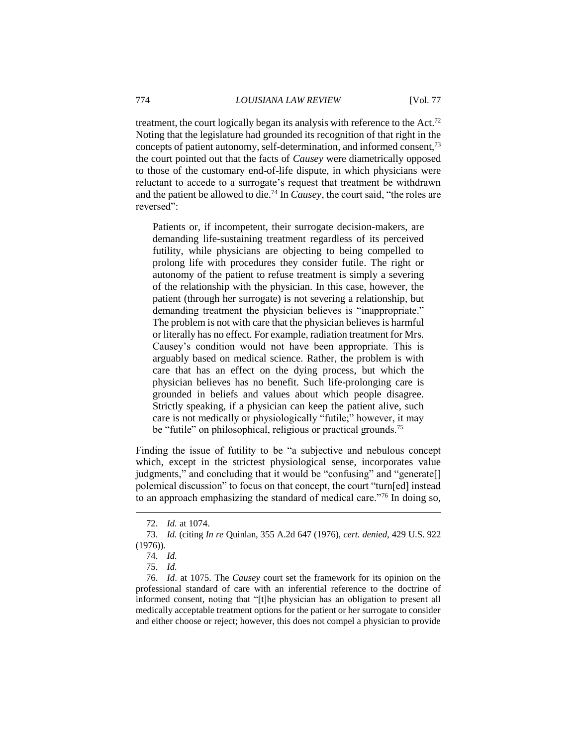treatment, the court logically began its analysis with reference to the Act.<sup>72</sup> Noting that the legislature had grounded its recognition of that right in the concepts of patient autonomy, self-determination, and informed consent,<sup>73</sup> the court pointed out that the facts of *Causey* were diametrically opposed to those of the customary end-of-life dispute, in which physicians were reluctant to accede to a surrogate's request that treatment be withdrawn and the patient be allowed to die.<sup>74</sup> In *Causey*, the court said, "the roles are reversed":

Patients or, if incompetent, their surrogate decision-makers, are demanding life-sustaining treatment regardless of its perceived futility, while physicians are objecting to being compelled to prolong life with procedures they consider futile. The right or autonomy of the patient to refuse treatment is simply a severing of the relationship with the physician. In this case, however, the patient (through her surrogate) is not severing a relationship, but demanding treatment the physician believes is "inappropriate." The problem is not with care that the physician believes is harmful or literally has no effect. For example, radiation treatment for Mrs. Causey's condition would not have been appropriate. This is arguably based on medical science. Rather, the problem is with care that has an effect on the dying process, but which the physician believes has no benefit. Such life-prolonging care is grounded in beliefs and values about which people disagree. Strictly speaking, if a physician can keep the patient alive, such care is not medically or physiologically "futile;" however, it may be "futile" on philosophical, religious or practical grounds.<sup>75</sup>

Finding the issue of futility to be "a subjective and nebulous concept which, except in the strictest physiological sense, incorporates value judgments," and concluding that it would be "confusing" and "generate[] polemical discussion" to focus on that concept, the court "turn[ed] instead to an approach emphasizing the standard of medical care."<sup>76</sup> In doing so,

<sup>72.</sup> *Id.* at 1074.

<sup>73.</sup> *Id.* (citing *In re* Quinlan, 355 A.2d 647 (1976), *cert. denied*, 429 U.S. 922 (1976)).

<sup>74.</sup> *Id.* 

<sup>75.</sup> *Id.*

<sup>76.</sup> *Id*. at 1075. The *Causey* court set the framework for its opinion on the professional standard of care with an inferential reference to the doctrine of informed consent, noting that "[t]he physician has an obligation to present all medically acceptable treatment options for the patient or her surrogate to consider and either choose or reject; however, this does not compel a physician to provide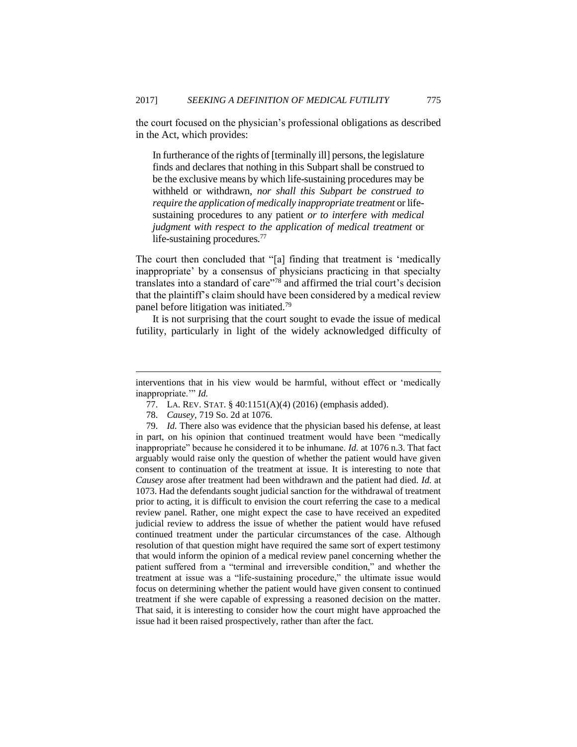the court focused on the physician's professional obligations as described in the Act, which provides:

In furtherance of the rights of [terminally ill] persons, the legislature finds and declares that nothing in this Subpart shall be construed to be the exclusive means by which life-sustaining procedures may be withheld or withdrawn, *nor shall this Subpart be construed to require the application of medically inappropriate treatment* or lifesustaining procedures to any patient *or to interfere with medical judgment with respect to the application of medical treatment* or life-sustaining procedures*.* 77

The court then concluded that "[a] finding that treatment is 'medically inappropriate' by a consensus of physicians practicing in that specialty translates into a standard of care"<sup>78</sup> and affirmed the trial court's decision that the plaintiff's claim should have been considered by a medical review panel before litigation was initiated.<sup>79</sup>

It is not surprising that the court sought to evade the issue of medical futility, particularly in light of the widely acknowledged difficulty of

interventions that in his view would be harmful, without effect or 'medically inappropriate.'" *Id.*

<sup>77.</sup> LA. REV. STAT. § 40:1151(A)(4) (2016) (emphasis added).

<sup>78.</sup> *Causey*, 719 So. 2d at 1076.

<sup>79.</sup> *Id.* There also was evidence that the physician based his defense, at least in part, on his opinion that continued treatment would have been "medically inappropriate" because he considered it to be inhumane. *Id.* at 1076 n.3. That fact arguably would raise only the question of whether the patient would have given consent to continuation of the treatment at issue. It is interesting to note that *Causey* arose after treatment had been withdrawn and the patient had died. *Id.* at 1073. Had the defendants sought judicial sanction for the withdrawal of treatment prior to acting, it is difficult to envision the court referring the case to a medical review panel. Rather, one might expect the case to have received an expedited judicial review to address the issue of whether the patient would have refused continued treatment under the particular circumstances of the case. Although resolution of that question might have required the same sort of expert testimony that would inform the opinion of a medical review panel concerning whether the patient suffered from a "terminal and irreversible condition," and whether the treatment at issue was a "life-sustaining procedure," the ultimate issue would focus on determining whether the patient would have given consent to continued treatment if she were capable of expressing a reasoned decision on the matter. That said, it is interesting to consider how the court might have approached the issue had it been raised prospectively, rather than after the fact.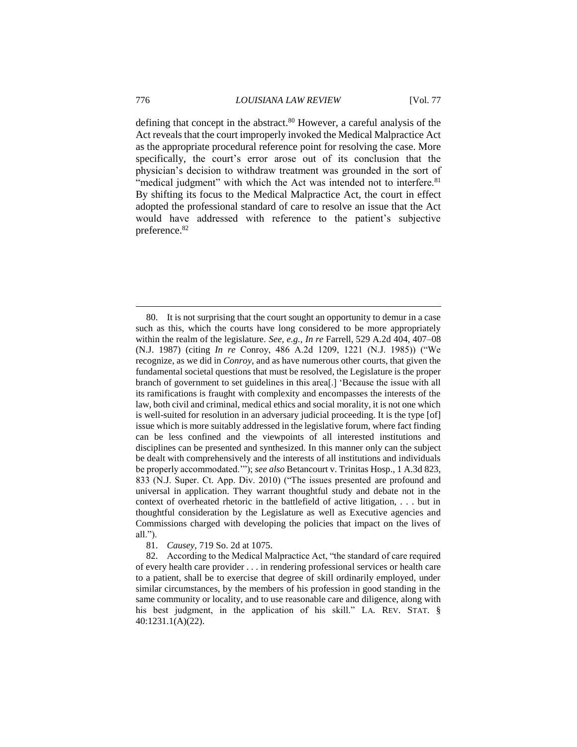defining that concept in the abstract.<sup>80</sup> However, a careful analysis of the Act reveals that the court improperly invoked the Medical Malpractice Act as the appropriate procedural reference point for resolving the case. More specifically, the court's error arose out of its conclusion that the physician's decision to withdraw treatment was grounded in the sort of "medical judgment" with which the Act was intended not to interfere.<sup>81</sup> By shifting its focus to the Medical Malpractice Act, the court in effect adopted the professional standard of care to resolve an issue that the Act would have addressed with reference to the patient's subjective preference.<sup>82</sup>

81. *Causey*, 719 So. 2d at 1075.

<sup>80.</sup> It is not surprising that the court sought an opportunity to demur in a case such as this, which the courts have long considered to be more appropriately within the realm of the legislature. *See, e.g.*, *In re* Farrell, 529 A.2d 404, 407–08 (N.J. 1987) (citing *In re* Conroy, 486 A.2d 1209, 1221 (N.J. 1985)) ("We recognize, as we did in *Conroy*, and as have numerous other courts, that given the fundamental societal questions that must be resolved, the Legislature is the proper branch of government to set guidelines in this area[.] 'Because the issue with all its ramifications is fraught with complexity and encompasses the interests of the law, both civil and criminal, medical ethics and social morality, it is not one which is well-suited for resolution in an adversary judicial proceeding. It is the type [of] issue which is more suitably addressed in the legislative forum, where fact finding can be less confined and the viewpoints of all interested institutions and disciplines can be presented and synthesized. In this manner only can the subject be dealt with comprehensively and the interests of all institutions and individuals be properly accommodated.'"); *see also* Betancourt v. Trinitas Hosp., 1 A.3d 823, 833 (N.J. Super. Ct. App. Div. 2010) ("The issues presented are profound and universal in application. They warrant thoughtful study and debate not in the context of overheated rhetoric in the battlefield of active litigation, . . . but in thoughtful consideration by the Legislature as well as Executive agencies and Commissions charged with developing the policies that impact on the lives of all.").

<sup>82.</sup> According to the Medical Malpractice Act, "the standard of care required of every health care provider . . . in rendering professional services or health care to a patient, shall be to exercise that degree of skill ordinarily employed, under similar circumstances, by the members of his profession in good standing in the same community or locality, and to use reasonable care and diligence, along with his best judgment, in the application of his skill." LA. REV. STAT. § 40:1231.1(A)(22).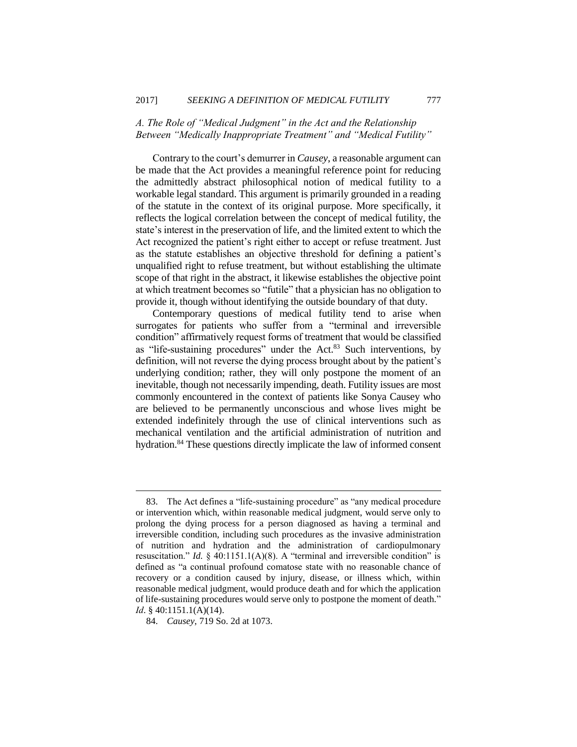#### *A. The Role of "Medical Judgment" in the Act and the Relationship Between "Medically Inappropriate Treatment" and "Medical Futility"*

Contrary to the court's demurrer in *Causey*, a reasonable argument can be made that the Act provides a meaningful reference point for reducing the admittedly abstract philosophical notion of medical futility to a workable legal standard. This argument is primarily grounded in a reading of the statute in the context of its original purpose. More specifically, it reflects the logical correlation between the concept of medical futility, the state's interest in the preservation of life, and the limited extent to which the Act recognized the patient's right either to accept or refuse treatment. Just as the statute establishes an objective threshold for defining a patient's unqualified right to refuse treatment, but without establishing the ultimate scope of that right in the abstract, it likewise establishes the objective point at which treatment becomes so "futile" that a physician has no obligation to provide it, though without identifying the outside boundary of that duty.

Contemporary questions of medical futility tend to arise when surrogates for patients who suffer from a "terminal and irreversible condition" affirmatively request forms of treatment that would be classified as "life-sustaining procedures" under the Act.<sup>83</sup> Such interventions, by definition, will not reverse the dying process brought about by the patient's underlying condition; rather, they will only postpone the moment of an inevitable, though not necessarily impending, death. Futility issues are most commonly encountered in the context of patients like Sonya Causey who are believed to be permanently unconscious and whose lives might be extended indefinitely through the use of clinical interventions such as mechanical ventilation and the artificial administration of nutrition and hydration.<sup>84</sup> These questions directly implicate the law of informed consent

<sup>83.</sup> The Act defines a "life-sustaining procedure" as "any medical procedure or intervention which, within reasonable medical judgment, would serve only to prolong the dying process for a person diagnosed as having a terminal and irreversible condition, including such procedures as the invasive administration of nutrition and hydration and the administration of cardiopulmonary resuscitation." *Id.* § 40:1151.1(A)(8). A "terminal and irreversible condition" is defined as "a continual profound comatose state with no reasonable chance of recovery or a condition caused by injury, disease, or illness which, within reasonable medical judgment, would produce death and for which the application of life-sustaining procedures would serve only to postpone the moment of death." *Id.* § 40:1151.1(A)(14).

<sup>84.</sup> *Causey*, 719 So. 2d at 1073.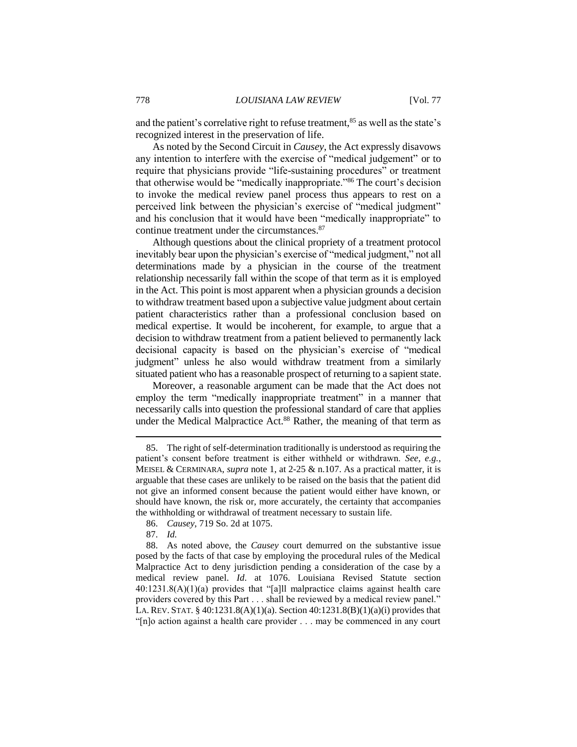and the patient's correlative right to refuse treatment, $85$  as well as the state's recognized interest in the preservation of life.

As noted by the Second Circuit in *Causey*, the Act expressly disavows any intention to interfere with the exercise of "medical judgement" or to require that physicians provide "life-sustaining procedures" or treatment that otherwise would be "medically inappropriate."<sup>86</sup> The court's decision to invoke the medical review panel process thus appears to rest on a perceived link between the physician's exercise of "medical judgment" and his conclusion that it would have been "medically inappropriate" to continue treatment under the circumstances.<sup>87</sup>

Although questions about the clinical propriety of a treatment protocol inevitably bear upon the physician's exercise of "medical judgment," not all determinations made by a physician in the course of the treatment relationship necessarily fall within the scope of that term as it is employed in the Act. This point is most apparent when a physician grounds a decision to withdraw treatment based upon a subjective value judgment about certain patient characteristics rather than a professional conclusion based on medical expertise. It would be incoherent, for example, to argue that a decision to withdraw treatment from a patient believed to permanently lack decisional capacity is based on the physician's exercise of "medical judgment" unless he also would withdraw treatment from a similarly situated patient who has a reasonable prospect of returning to a sapient state.

Moreover, a reasonable argument can be made that the Act does not employ the term "medically inappropriate treatment" in a manner that necessarily calls into question the professional standard of care that applies under the Medical Malpractice Act.<sup>88</sup> Rather, the meaning of that term as

<sup>85.</sup> The right of self-determination traditionally is understood as requiring the patient's consent before treatment is either withheld or withdrawn. *See, e.g.*, MEISEL & CERMINARA, *supra* note 1, at 2-25 & n.107. As a practical matter, it is arguable that these cases are unlikely to be raised on the basis that the patient did not give an informed consent because the patient would either have known, or should have known, the risk or, more accurately, the certainty that accompanies the withholding or withdrawal of treatment necessary to sustain life.

<sup>86.</sup> *Causey*, 719 So. 2d at 1075.

<sup>87.</sup> *Id.*

<sup>88.</sup> As noted above, the *Causey* court demurred on the substantive issue posed by the facts of that case by employing the procedural rules of the Medical Malpractice Act to deny jurisdiction pending a consideration of the case by a medical review panel. *Id*. at 1076. Louisiana Revised Statute section 40:1231.8(A)(1)(a) provides that "[a]ll malpractice claims against health care providers covered by this Part . . . shall be reviewed by a medical review panel." LA. REV. STAT. § 40:1231.8(A)(1)(a). Section 40:1231.8(B)(1)(a)(i) provides that "[n]o action against a health care provider . . . may be commenced in any court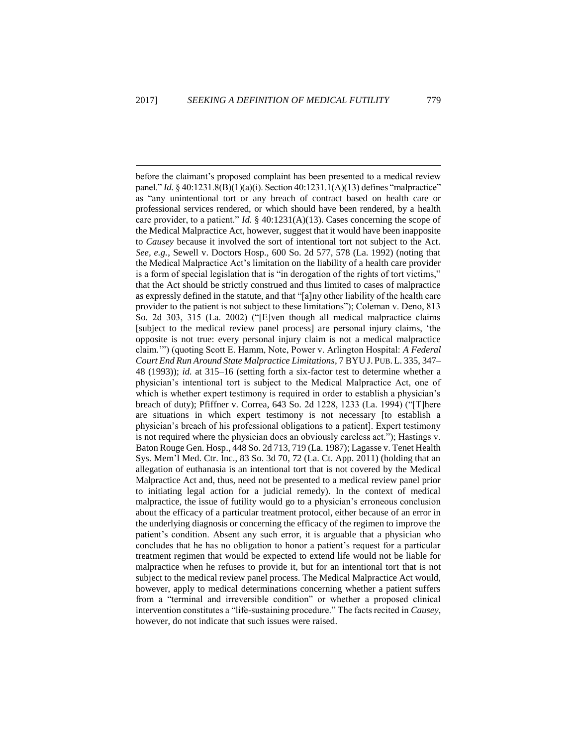$\overline{a}$ 

before the claimant's proposed complaint has been presented to a medical review panel." *Id.* § 40:1231.8(B)(1)(a)(i). Section 40:1231.1(A)(13) defines "malpractice" as "any unintentional tort or any breach of contract based on health care or professional services rendered, or which should have been rendered, by a health care provider, to a patient." *Id.* § 40:1231(A)(13). Cases concerning the scope of the Medical Malpractice Act, however, suggest that it would have been inapposite to *Causey* because it involved the sort of intentional tort not subject to the Act. *See, e.g.*, Sewell v. Doctors Hosp., 600 So. 2d 577, 578 (La. 1992) (noting that the Medical Malpractice Act's limitation on the liability of a health care provider is a form of special legislation that is "in derogation of the rights of tort victims," that the Act should be strictly construed and thus limited to cases of malpractice as expressly defined in the statute, and that "[a]ny other liability of the health care provider to the patient is not subject to these limitations"); Coleman v. Deno, 813 So. 2d 303, 315 (La. 2002) ("[E]ven though all medical malpractice claims [subject to the medical review panel process] are personal injury claims, 'the opposite is not true: every personal injury claim is not a medical malpractice claim.'") (quoting Scott E. Hamm, Note, Power v. Arlington Hospital: *A Federal Court End Run Around State Malpractice Limitations*, 7 BYU J. PUB. L. 335, 347– 48 (1993)); *id.* at 315–16 (setting forth a six-factor test to determine whether a physician's intentional tort is subject to the Medical Malpractice Act, one of which is whether expert testimony is required in order to establish a physician's breach of duty); Pfiffner v. Correa, 643 So. 2d 1228, 1233 (La. 1994) ("[T]here are situations in which expert testimony is not necessary [to establish a physician's breach of his professional obligations to a patient]. Expert testimony is not required where the physician does an obviously careless act."); Hastings v. Baton Rouge Gen. Hosp., 448 So. 2d 713, 719 (La. 1987); Lagasse v. Tenet Health Sys. Mem'l Med. Ctr. Inc., 83 So. 3d 70, 72 (La. Ct. App. 2011) (holding that an allegation of euthanasia is an intentional tort that is not covered by the Medical Malpractice Act and, thus, need not be presented to a medical review panel prior to initiating legal action for a judicial remedy). In the context of medical malpractice, the issue of futility would go to a physician's erroneous conclusion about the efficacy of a particular treatment protocol, either because of an error in the underlying diagnosis or concerning the efficacy of the regimen to improve the patient's condition. Absent any such error, it is arguable that a physician who concludes that he has no obligation to honor a patient's request for a particular treatment regimen that would be expected to extend life would not be liable for malpractice when he refuses to provide it, but for an intentional tort that is not subject to the medical review panel process. The Medical Malpractice Act would, however, apply to medical determinations concerning whether a patient suffers from a "terminal and irreversible condition" or whether a proposed clinical intervention constitutes a "life-sustaining procedure." The facts recited in *Causey*, however, do not indicate that such issues were raised.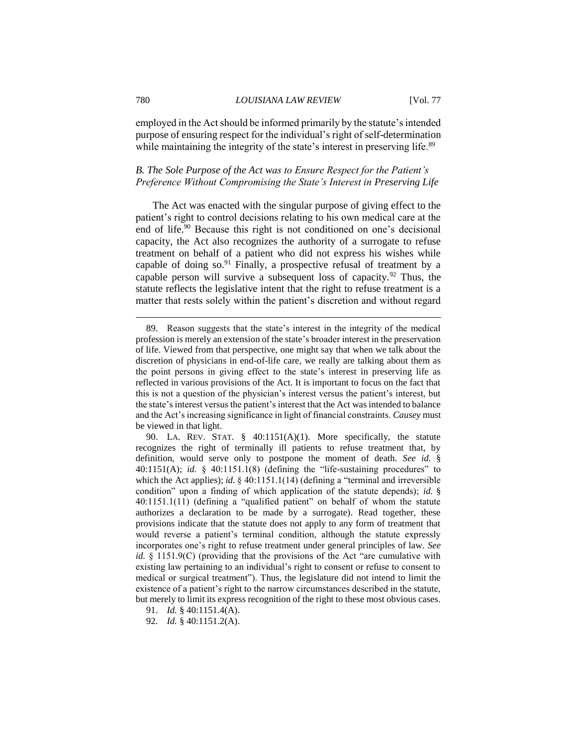employed in the Act should be informed primarily by the statute's intended purpose of ensuring respect for the individual's right of self-determination while maintaining the integrity of the state's interest in preserving life.<sup>89</sup>

#### *B. The Sole Purpose of the Act was to Ensure Respect for the Patient's Preference Without Compromising the State's Interest in Preserving Life*

The Act was enacted with the singular purpose of giving effect to the patient's right to control decisions relating to his own medical care at the end of life.<sup>90</sup> Because this right is not conditioned on one's decisional capacity, the Act also recognizes the authority of a surrogate to refuse treatment on behalf of a patient who did not express his wishes while capable of doing so. $91$  Finally, a prospective refusal of treatment by a capable person will survive a subsequent loss of capacity.<sup>92</sup> Thus, the statute reflects the legislative intent that the right to refuse treatment is a matter that rests solely within the patient's discretion and without regard

90. LA. REV. STAT. § 40:1151(A)(1). More specifically, the statute recognizes the right of terminally ill patients to refuse treatment that, by definition, would serve only to postpone the moment of death. *See id.* § 40:1151(A); *id.* § 40:1151.1(8) (defining the "life-sustaining procedures" to which the Act applies); *id.* § 40:1151.1(14) (defining a "terminal and irreversible condition" upon a finding of which application of the statute depends); *id.* § 40:1151.1(11) (defining a "qualified patient" on behalf of whom the statute authorizes a declaration to be made by a surrogate). Read together, these provisions indicate that the statute does not apply to any form of treatment that would reverse a patient's terminal condition, although the statute expressly incorporates one's right to refuse treatment under general principles of law. *See id.* § 1151.9(C) (providing that the provisions of the Act "are cumulative with existing law pertaining to an individual's right to consent or refuse to consent to medical or surgical treatment"). Thus, the legislature did not intend to limit the existence of a patient's right to the narrow circumstances described in the statute, but merely to limit its express recognition of the right to these most obvious cases.

<sup>89.</sup> Reason suggests that the state's interest in the integrity of the medical profession is merely an extension of the state's broader interest in the preservation of life. Viewed from that perspective, one might say that when we talk about the discretion of physicians in end-of-life care, we really are talking about them as the point persons in giving effect to the state's interest in preserving life as reflected in various provisions of the Act. It is important to focus on the fact that this is not a question of the physician's interest versus the patient's interest, but the state's interest versus the patient's interest that the Act was intended to balance and the Act's increasing significance in light of financial constraints. *Causey* must be viewed in that light.

<sup>91.</sup> *Id.* § 40:1151.4(A).

<sup>92.</sup> *Id.* § 40:1151.2(A).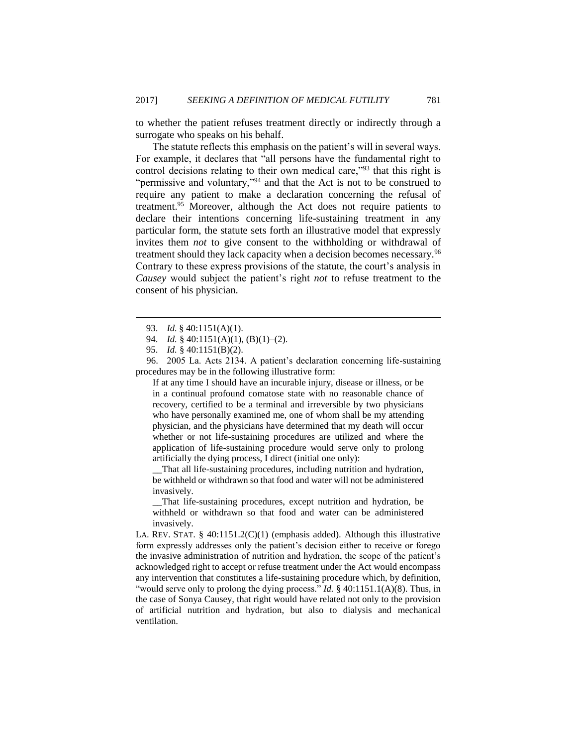to whether the patient refuses treatment directly or indirectly through a surrogate who speaks on his behalf.

The statute reflects this emphasis on the patient's will in several ways. For example, it declares that "all persons have the fundamental right to control decisions relating to their own medical care,"<sup>93</sup> that this right is "permissive and voluntary,"<sup>94</sup> and that the Act is not to be construed to require any patient to make a declaration concerning the refusal of treatment.<sup>95</sup> Moreover, although the Act does not require patients to declare their intentions concerning life-sustaining treatment in any particular form, the statute sets forth an illustrative model that expressly invites them *not* to give consent to the withholding or withdrawal of treatment should they lack capacity when a decision becomes necessary.<sup>96</sup> Contrary to these express provisions of the statute, the court's analysis in *Causey* would subject the patient's right *not* to refuse treatment to the consent of his physician.

 $\overline{a}$ 

96. 2005 La. Acts 2134. A patient's declaration concerning life-sustaining procedures may be in the following illustrative form:

If at any time I should have an incurable injury, disease or illness, or be in a continual profound comatose state with no reasonable chance of recovery, certified to be a terminal and irreversible by two physicians who have personally examined me, one of whom shall be my attending physician, and the physicians have determined that my death will occur whether or not life-sustaining procedures are utilized and where the application of life-sustaining procedure would serve only to prolong artificially the dying process, I direct (initial one only):

\_\_That all life-sustaining procedures, including nutrition and hydration, be withheld or withdrawn so that food and water will not be administered invasively.

\_\_That life-sustaining procedures, except nutrition and hydration, be withheld or withdrawn so that food and water can be administered invasively.

LA. REV. STAT. § 40:1151.2(C)(1) (emphasis added). Although this illustrative form expressly addresses only the patient's decision either to receive or forego the invasive administration of nutrition and hydration, the scope of the patient's acknowledged right to accept or refuse treatment under the Act would encompass any intervention that constitutes a life-sustaining procedure which, by definition, "would serve only to prolong the dying process." *Id.* § 40:1151.1(A)(8). Thus, in the case of Sonya Causey, that right would have related not only to the provision of artificial nutrition and hydration, but also to dialysis and mechanical ventilation.

<sup>93.</sup> *Id.* § 40:1151(A)(1).

<sup>94.</sup> *Id.* § 40:1151(A)(1), (B)(1)–(2).

<sup>95.</sup> *Id.* § 40:1151(B)(2).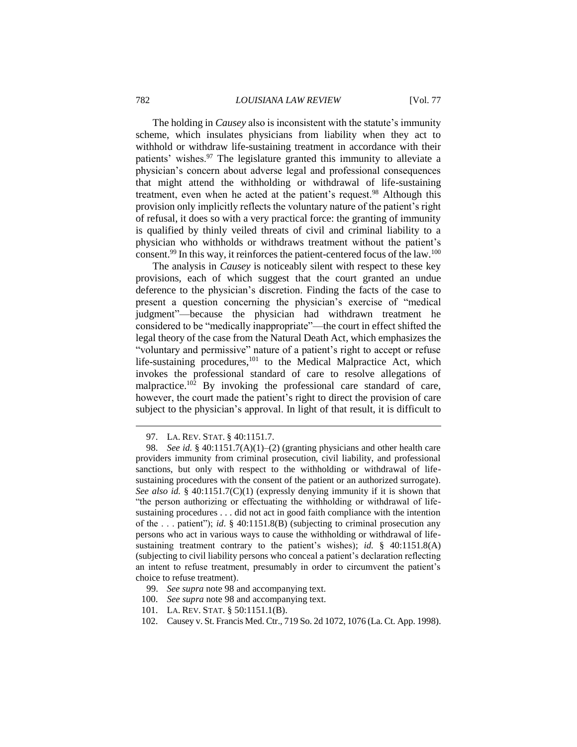The holding in *Causey* also is inconsistent with the statute's immunity scheme, which insulates physicians from liability when they act to withhold or withdraw life-sustaining treatment in accordance with their patients' wishes.<sup>97</sup> The legislature granted this immunity to alleviate a physician's concern about adverse legal and professional consequences that might attend the withholding or withdrawal of life-sustaining treatment, even when he acted at the patient's request.<sup>98</sup> Although this provision only implicitly reflects the voluntary nature of the patient's right of refusal, it does so with a very practical force: the granting of immunity is qualified by thinly veiled threats of civil and criminal liability to a physician who withholds or withdraws treatment without the patient's consent.<sup>99</sup> In this way, it reinforces the patient-centered focus of the law.<sup>100</sup>

The analysis in *Causey* is noticeably silent with respect to these key provisions, each of which suggest that the court granted an undue deference to the physician's discretion. Finding the facts of the case to present a question concerning the physician's exercise of "medical judgment"—because the physician had withdrawn treatment he considered to be "medically inappropriate"—the court in effect shifted the legal theory of the case from the Natural Death Act, which emphasizes the "voluntary and permissive" nature of a patient's right to accept or refuse life-sustaining procedures,<sup>101</sup> to the Medical Malpractice Act, which invokes the professional standard of care to resolve allegations of malpractice.<sup>102</sup> By invoking the professional care standard of care, however, the court made the patient's right to direct the provision of care subject to the physician's approval. In light of that result, it is difficult to

- 100. *See supra* note 98 and accompanying text.
- 101. LA. REV. STAT. § 50:1151.1(B).
- 102. Causey v. St. Francis Med. Ctr., 719 So. 2d 1072, 1076 (La. Ct. App. 1998).

<sup>97.</sup> LA. REV. STAT. § 40:1151.7.

<sup>98.</sup> *See id.* § 40:1151.7(A)(1)–(2) (granting physicians and other health care providers immunity from criminal prosecution, civil liability, and professional sanctions, but only with respect to the withholding or withdrawal of lifesustaining procedures with the consent of the patient or an authorized surrogate). *See also id.* § 40:1151.7(C)(1) (expressly denying immunity if it is shown that "the person authorizing or effectuating the withholding or withdrawal of lifesustaining procedures . . . did not act in good faith compliance with the intention of the . . . patient"); *id*. § 40:1151.8(B) (subjecting to criminal prosecution any persons who act in various ways to cause the withholding or withdrawal of lifesustaining treatment contrary to the patient's wishes); *id.* § 40:1151.8(A) (subjecting to civil liability persons who conceal a patient's declaration reflecting an intent to refuse treatment, presumably in order to circumvent the patient's choice to refuse treatment).

<sup>99.</sup> *See supra* note 98 and accompanying text.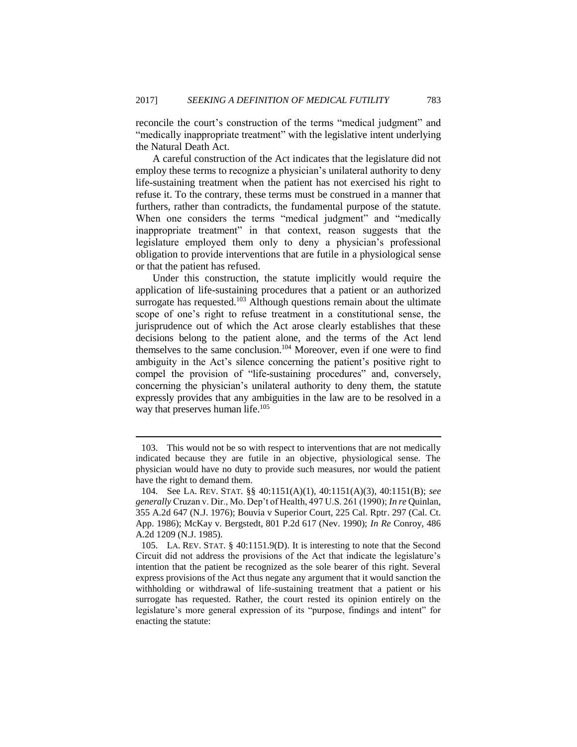reconcile the court's construction of the terms "medical judgment" and "medically inappropriate treatment" with the legislative intent underlying the Natural Death Act.

A careful construction of the Act indicates that the legislature did not employ these terms to recognize a physician's unilateral authority to deny life-sustaining treatment when the patient has not exercised his right to refuse it. To the contrary, these terms must be construed in a manner that furthers, rather than contradicts, the fundamental purpose of the statute. When one considers the terms "medical judgment" and "medically inappropriate treatment" in that context, reason suggests that the legislature employed them only to deny a physician's professional obligation to provide interventions that are futile in a physiological sense or that the patient has refused.

Under this construction, the statute implicitly would require the application of life-sustaining procedures that a patient or an authorized surrogate has requested.<sup>103</sup> Although questions remain about the ultimate scope of one's right to refuse treatment in a constitutional sense, the jurisprudence out of which the Act arose clearly establishes that these decisions belong to the patient alone, and the terms of the Act lend themselves to the same conclusion.<sup>104</sup> Moreover, even if one were to find ambiguity in the Act's silence concerning the patient's positive right to compel the provision of "life-sustaining procedures" and, conversely, concerning the physician's unilateral authority to deny them, the statute expressly provides that any ambiguities in the law are to be resolved in a way that preserves human life.<sup>105</sup>

<sup>103.</sup> This would not be so with respect to interventions that are not medically indicated because they are futile in an objective, physiological sense. The physician would have no duty to provide such measures, nor would the patient have the right to demand them.

<sup>104.</sup> See LA. REV. STAT. §§ 40:1151(A)(1), 40:1151(A)(3), 40:1151(B); *see generally* Cruzan v. Dir., Mo. Dep't of Health, 497 U.S. 261 (1990); *In re* Quinlan, 355 A.2d 647 (N.J. 1976); Bouvia v Superior Court, 225 Cal. Rptr. 297 (Cal. Ct. App. 1986); McKay v. Bergstedt, 801 P.2d 617 (Nev. 1990); *In Re* Conroy, 486 A.2d 1209 (N.J. 1985).

<sup>105.</sup> LA. REV. STAT. § 40:1151.9(D). It is interesting to note that the Second Circuit did not address the provisions of the Act that indicate the legislature's intention that the patient be recognized as the sole bearer of this right. Several express provisions of the Act thus negate any argument that it would sanction the withholding or withdrawal of life-sustaining treatment that a patient or his surrogate has requested. Rather, the court rested its opinion entirely on the legislature's more general expression of its "purpose, findings and intent" for enacting the statute: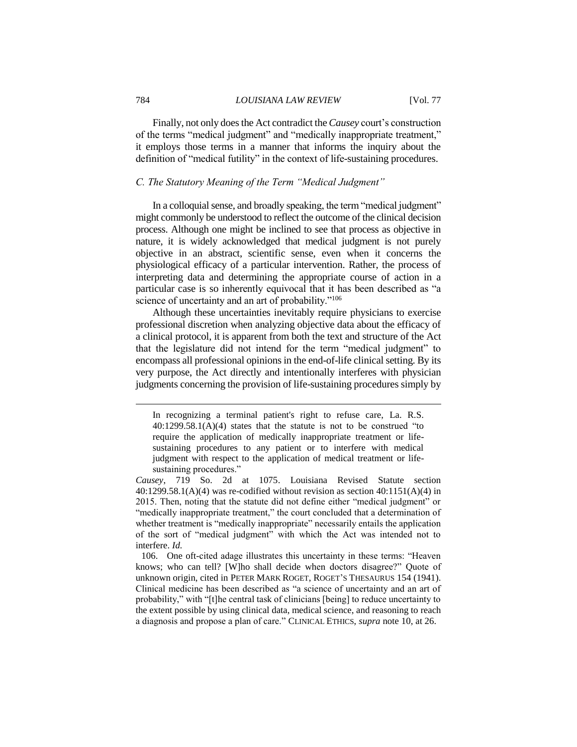Finally, not only does the Act contradict the *Causey* court's construction of the terms "medical judgment" and "medically inappropriate treatment," it employs those terms in a manner that informs the inquiry about the definition of "medical futility" in the context of life-sustaining procedures.

#### *C. The Statutory Meaning of the Term "Medical Judgment"*

In a colloquial sense, and broadly speaking, the term "medical judgment" might commonly be understood to reflect the outcome of the clinical decision process. Although one might be inclined to see that process as objective in nature, it is widely acknowledged that medical judgment is not purely objective in an abstract, scientific sense, even when it concerns the physiological efficacy of a particular intervention. Rather, the process of interpreting data and determining the appropriate course of action in a particular case is so inherently equivocal that it has been described as "a science of uncertainty and an art of probability."<sup>106</sup>

Although these uncertainties inevitably require physicians to exercise professional discretion when analyzing objective data about the efficacy of a clinical protocol, it is apparent from both the text and structure of the Act that the legislature did not intend for the term "medical judgment" to encompass all professional opinions in the end-of-life clinical setting. By its very purpose, the Act directly and intentionally interferes with physician judgments concerning the provision of life-sustaining procedures simply by

In recognizing a terminal patient's right to refuse care, [La. R.S.](https://1.next.westlaw.com/Link/Document/FullText?findType=L&pubNum=1000011&cite=LARS40%3a1299.58.1&originatingDoc=I9eba1bd90f4411d9bde8ee3d49ead4ec&refType=LQ&originationContext=document&transitionType=DocumentItem&contextData=(sc.UserEnteredCitation))  [40:1299.58.1\(A\)\(4\)](https://1.next.westlaw.com/Link/Document/FullText?findType=L&pubNum=1000011&cite=LARS40%3a1299.58.1&originatingDoc=I9eba1bd90f4411d9bde8ee3d49ead4ec&refType=LQ&originationContext=document&transitionType=DocumentItem&contextData=(sc.UserEnteredCitation)) states that the statute is not to be construed "to require the application of medically inappropriate treatment or lifesustaining procedures to any patient or to interfere with medical judgment with respect to the application of medical treatment or lifesustaining procedures."

*Causey*, 719 So. 2d at 1075. Louisiana Revised Statute section  $40:1299.58.1(A)(4)$  was re-codified without revision as section  $40:1151(A)(4)$  in 2015. Then, noting that the statute did not define either "medical judgment" or "medically inappropriate treatment," the court concluded that a determination of whether treatment is "medically inappropriate" necessarily entails the application of the sort of "medical judgment" with which the Act was intended not to interfere. *Id.*

<sup>106.</sup> One oft-cited adage illustrates this uncertainty in these terms: "Heaven knows; who can tell? [W]ho shall decide when doctors disagree?" Quote of unknown origin, cited in PETER MARK ROGET, ROGET'S THESAURUS 154 (1941). Clinical medicine has been described as "a science of uncertainty and an art of probability," with "[t]he central task of clinicians [being] to reduce uncertainty to the extent possible by using clinical data, medical science, and reasoning to reach a diagnosis and propose a plan of care." CLINICAL ETHICS, *supra* note 10, at 26.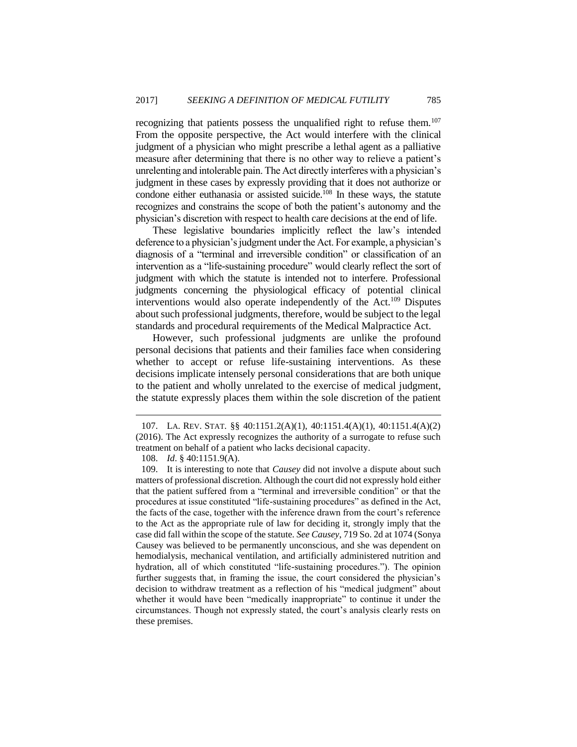recognizing that patients possess the unqualified right to refuse them.<sup>107</sup> From the opposite perspective, the Act would interfere with the clinical judgment of a physician who might prescribe a lethal agent as a palliative measure after determining that there is no other way to relieve a patient's unrelenting and intolerable pain. The Act directly interferes with a physician's judgment in these cases by expressly providing that it does not authorize or condone either euthanasia or assisted suicide. $108$  In these ways, the statute recognizes and constrains the scope of both the patient's autonomy and the physician's discretion with respect to health care decisions at the end of life.

These legislative boundaries implicitly reflect the law's intended deference to a physician's judgment under the Act. For example, a physician's diagnosis of a "terminal and irreversible condition" or classification of an intervention as a "life-sustaining procedure" would clearly reflect the sort of judgment with which the statute is intended not to interfere. Professional judgments concerning the physiological efficacy of potential clinical interventions would also operate independently of the Act.<sup>109</sup> Disputes about such professional judgments, therefore, would be subject to the legal standards and procedural requirements of the Medical Malpractice Act.

However, such professional judgments are unlike the profound personal decisions that patients and their families face when considering whether to accept or refuse life-sustaining interventions. As these decisions implicate intensely personal considerations that are both unique to the patient and wholly unrelated to the exercise of medical judgment, the statute expressly places them within the sole discretion of the patient

<sup>107.</sup> LA. REV. STAT. §§ 40:1151.2(A)(1), 40:1151.4(A)(1), 40:1151.4(A)(2) (2016). The Act expressly recognizes the authority of a surrogate to refuse such treatment on behalf of a patient who lacks decisional capacity.

<sup>108.</sup> *Id*. § 40:1151.9(A).

<sup>109.</sup> It is interesting to note that *Causey* did not involve a dispute about such matters of professional discretion. Although the court did not expressly hold either that the patient suffered from a "terminal and irreversible condition" or that the procedures at issue constituted "life-sustaining procedures" as defined in the Act, the facts of the case, together with the inference drawn from the court's reference to the Act as the appropriate rule of law for deciding it, strongly imply that the case did fall within the scope of the statute. *See Causey*, 719 So. 2d at 1074 (Sonya Causey was believed to be permanently unconscious, and she was dependent on hemodialysis, mechanical ventilation, and artificially administered nutrition and hydration, all of which constituted "life-sustaining procedures."). The opinion further suggests that, in framing the issue, the court considered the physician's decision to withdraw treatment as a reflection of his "medical judgment" about whether it would have been "medically inappropriate" to continue it under the circumstances. Though not expressly stated, the court's analysis clearly rests on these premises.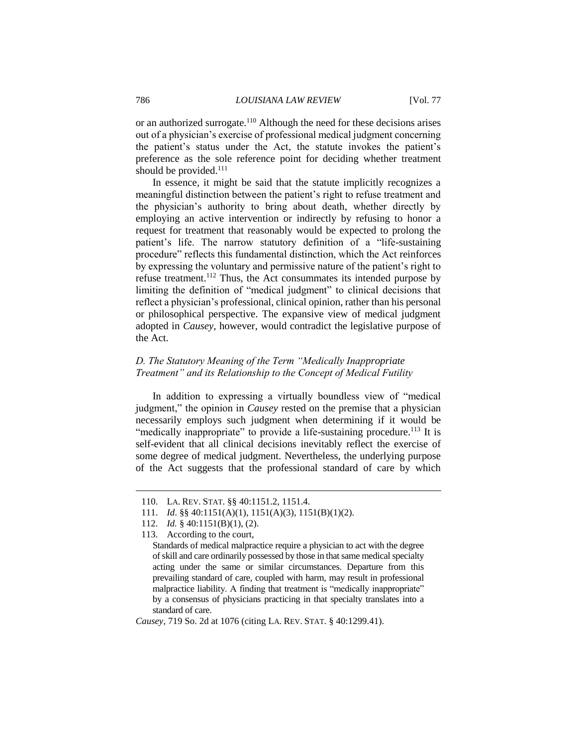or an authorized surrogate.<sup>110</sup> Although the need for these decisions arises out of a physician's exercise of professional medical judgment concerning the patient's status under the Act, the statute invokes the patient's preference as the sole reference point for deciding whether treatment should be provided. $111$ 

In essence, it might be said that the statute implicitly recognizes a meaningful distinction between the patient's right to refuse treatment and the physician's authority to bring about death, whether directly by employing an active intervention or indirectly by refusing to honor a request for treatment that reasonably would be expected to prolong the patient's life. The narrow statutory definition of a "life-sustaining procedure" reflects this fundamental distinction, which the Act reinforces by expressing the voluntary and permissive nature of the patient's right to refuse treatment.<sup>112</sup> Thus, the Act consummates its intended purpose by limiting the definition of "medical judgment" to clinical decisions that reflect a physician's professional, clinical opinion, rather than his personal or philosophical perspective. The expansive view of medical judgment adopted in *Causey*, however, would contradict the legislative purpose of the Act.

#### *D. The Statutory Meaning of the Term "Medically Inappropriate Treatment" and its Relationship to the Concept of Medical Futility*

In addition to expressing a virtually boundless view of "medical judgment," the opinion in *Causey* rested on the premise that a physician necessarily employs such judgment when determining if it would be "medically inappropriate" to provide a life-sustaining procedure.<sup>113</sup> It is self-evident that all clinical decisions inevitably reflect the exercise of some degree of medical judgment. Nevertheless, the underlying purpose of the Act suggests that the professional standard of care by which

<sup>110.</sup> LA. REV. STAT. §§ 40:1151.2, 1151.4.

<sup>111.</sup> *Id*. §§ 40:1151(A)(1), 1151(A)(3), 1151(B)(1)(2).

<sup>112.</sup> *Id.* § 40:1151(B)(1), (2).

<sup>113.</sup> According to the court,

Standards of medical malpractice require a physician to act with the degree of skill and care ordinarily possessed by those in that same medical specialty acting under the same or similar circumstances. Departure from this prevailing standard of care, coupled with harm, may result in professional malpractice liability. A finding that treatment is "medically inappropriate" by a consensus of physicians practicing in that specialty translates into a standard of care.

*Causey*, 719 So. 2d at 1076 (citing LA. REV. STAT. § 40:1299.41).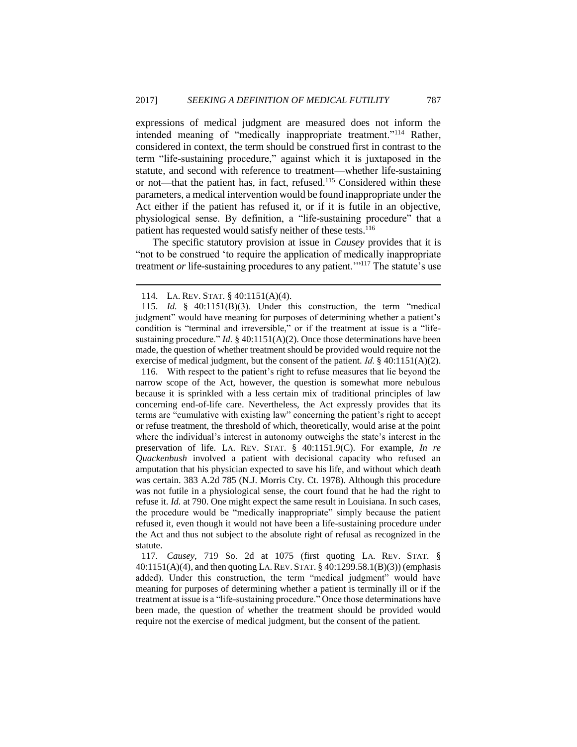expressions of medical judgment are measured does not inform the intended meaning of "medically inappropriate treatment."<sup>114</sup> Rather, considered in context, the term should be construed first in contrast to the term "life-sustaining procedure," against which it is juxtaposed in the statute, and second with reference to treatment—whether life-sustaining or not—that the patient has, in fact, refused.<sup>115</sup> Considered within these parameters, a medical intervention would be found inappropriate under the Act either if the patient has refused it, or if it is futile in an objective, physiological sense. By definition, a "life-sustaining procedure" that a patient has requested would satisfy neither of these tests.<sup>116</sup>

The specific statutory provision at issue in *Causey* provides that it is "not to be construed 'to require the application of medically inappropriate treatment *or* life-sustaining procedures to any patient.'"<sup>117</sup> The statute's use

 $\overline{a}$ 

116. With respect to the patient's right to refuse measures that lie beyond the narrow scope of the Act, however, the question is somewhat more nebulous because it is sprinkled with a less certain mix of traditional principles of law concerning end-of-life care. Nevertheless, the Act expressly provides that its terms are "cumulative with existing law" concerning the patient's right to accept or refuse treatment, the threshold of which, theoretically, would arise at the point where the individual's interest in autonomy outweighs the state's interest in the preservation of life. LA. REV. STAT. § 40:1151.9(C). For example, *In re Quackenbush* involved a patient with decisional capacity who refused an amputation that his physician expected to save his life, and without which death was certain. 383 A.2d 785 (N.J. Morris Cty. Ct. 1978). Although this procedure was not futile in a physiological sense, the court found that he had the right to refuse it. *Id.* at 790. One might expect the same result in Louisiana. In such cases, the procedure would be "medically inappropriate" simply because the patient refused it, even though it would not have been a life-sustaining procedure under the Act and thus not subject to the absolute right of refusal as recognized in the statute.

117*. Causey*, 719 So. 2d at 1075 (first quoting LA. REV. STAT. § 40:1151(A)(4), and then quoting LA. REV. STAT. § 40:1299.58.1(B)(3)) (emphasis added). Under this construction, the term "medical judgment" would have meaning for purposes of determining whether a patient is terminally ill or if the treatment at issue is a "life-sustaining procedure." Once those determinations have been made, the question of whether the treatment should be provided would require not the exercise of medical judgment, but the consent of the patient.

<sup>114.</sup> LA. REV. STAT. § 40:1151(A)(4).

<sup>115.</sup> *Id.* § 40:1151(B)(3). Under this construction, the term "medical judgment" would have meaning for purposes of determining whether a patient's condition is "terminal and irreversible," or if the treatment at issue is a "lifesustaining procedure." *Id.* § 40:1151(A)(2). Once those determinations have been made, the question of whether treatment should be provided would require not the exercise of medical judgment, but the consent of the patient. *Id.* § 40:1151(A)(2).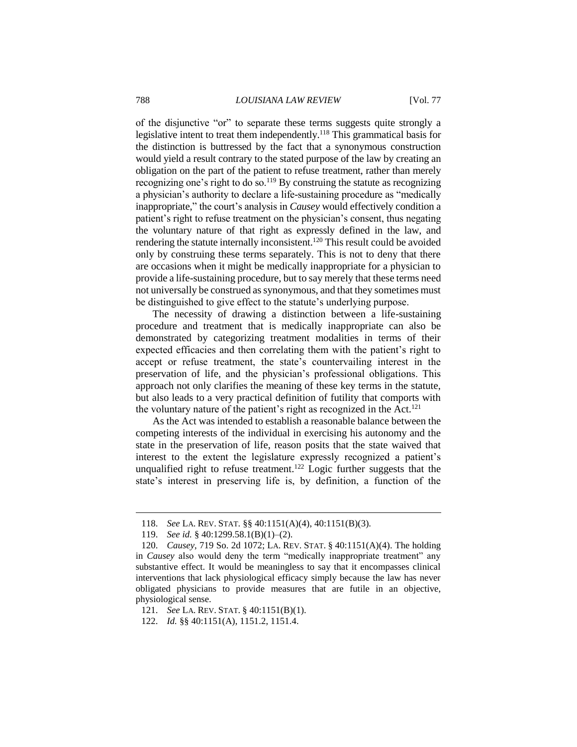of the disjunctive "or" to separate these terms suggests quite strongly a legislative intent to treat them independently.<sup>118</sup> This grammatical basis for the distinction is buttressed by the fact that a synonymous construction would yield a result contrary to the stated purpose of the law by creating an obligation on the part of the patient to refuse treatment, rather than merely recognizing one's right to do so.<sup>119</sup> By construing the statute as recognizing a physician's authority to declare a life-sustaining procedure as "medically inappropriate," the court's analysis in *Causey* would effectively condition a patient's right to refuse treatment on the physician's consent, thus negating the voluntary nature of that right as expressly defined in the law, and rendering the statute internally inconsistent.<sup>120</sup> This result could be avoided only by construing these terms separately. This is not to deny that there are occasions when it might be medically inappropriate for a physician to provide a life-sustaining procedure, but to say merely that these terms need not universally be construed as synonymous, and that they sometimes must be distinguished to give effect to the statute's underlying purpose.

The necessity of drawing a distinction between a life-sustaining procedure and treatment that is medically inappropriate can also be demonstrated by categorizing treatment modalities in terms of their expected efficacies and then correlating them with the patient's right to accept or refuse treatment, the state's countervailing interest in the preservation of life, and the physician's professional obligations. This approach not only clarifies the meaning of these key terms in the statute, but also leads to a very practical definition of futility that comports with the voluntary nature of the patient's right as recognized in the Act.<sup>121</sup>

As the Act was intended to establish a reasonable balance between the competing interests of the individual in exercising his autonomy and the state in the preservation of life, reason posits that the state waived that interest to the extent the legislature expressly recognized a patient's unqualified right to refuse treatment.<sup>122</sup> Logic further suggests that the state's interest in preserving life is, by definition, a function of the

<sup>118.</sup> *See* LA. REV. STAT. §§ 40:1151(A)(4), 40:1151(B)(3).

<sup>119.</sup> *See id.* § 40:1299.58.1(B)(1)–(2).

<sup>120.</sup> *Causey*, 719 So. 2d 1072; LA. REV. STAT. § 40:1151(A)(4). The holding in *Causey* also would deny the term "medically inappropriate treatment" any substantive effect. It would be meaningless to say that it encompasses clinical interventions that lack physiological efficacy simply because the law has never obligated physicians to provide measures that are futile in an objective, physiological sense.

<sup>121.</sup> *See* LA. REV. STAT. § 40:1151(B)(1).

<sup>122.</sup> *Id.* §§ 40:1151(A), 1151.2, 1151.4.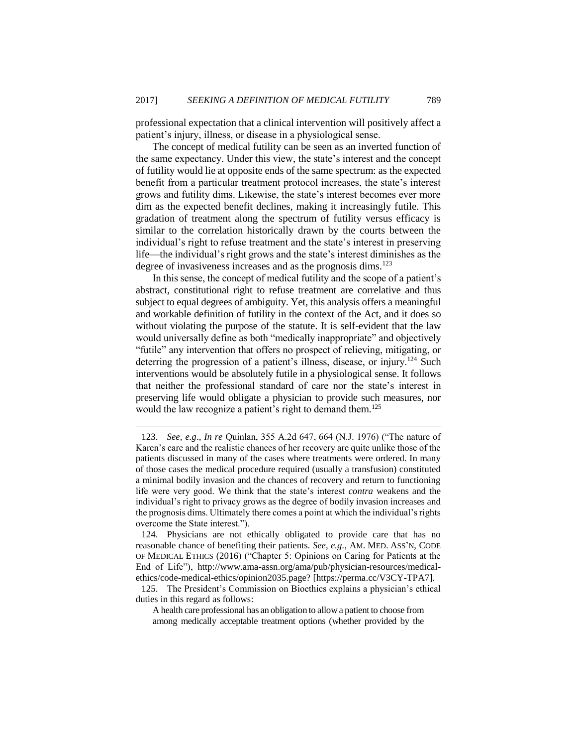professional expectation that a clinical intervention will positively affect a patient's injury, illness, or disease in a physiological sense.

The concept of medical futility can be seen as an inverted function of the same expectancy. Under this view, the state's interest and the concept of futility would lie at opposite ends of the same spectrum: as the expected benefit from a particular treatment protocol increases, the state's interest grows and futility dims. Likewise, the state's interest becomes ever more dim as the expected benefit declines, making it increasingly futile. This gradation of treatment along the spectrum of futility versus efficacy is similar to the correlation historically drawn by the courts between the individual's right to refuse treatment and the state's interest in preserving life—the individual's right grows and the state's interest diminishes as the degree of invasiveness increases and as the prognosis dims.<sup>123</sup>

In this sense, the concept of medical futility and the scope of a patient's abstract, constitutional right to refuse treatment are correlative and thus subject to equal degrees of ambiguity. Yet, this analysis offers a meaningful and workable definition of futility in the context of the Act, and it does so without violating the purpose of the statute. It is self-evident that the law would universally define as both "medically inappropriate" and objectively "futile" any intervention that offers no prospect of relieving, mitigating, or deterring the progression of a patient's illness, disease, or injury.<sup>124</sup> Such interventions would be absolutely futile in a physiological sense. It follows that neither the professional standard of care nor the state's interest in preserving life would obligate a physician to provide such measures, nor would the law recognize a patient's right to demand them.<sup>125</sup>

 $\overline{a}$ 

A health care professional has an obligation to allow a patient to choose from among medically acceptable treatment options (whether provided by the

<sup>123.</sup> *See, e.g*., *In re* Quinlan, 355 A.2d 647, 664 (N.J. 1976) ("The nature of Karen's care and the realistic chances of her recovery are quite unlike those of the patients discussed in many of the cases where treatments were ordered. In many of those cases the medical procedure required (usually a transfusion) constituted a minimal bodily invasion and the chances of recovery and return to functioning life were very good. We think that the state's interest *contra* weakens and the individual's right to privacy grows as the degree of bodily invasion increases and the prognosis dims. Ultimately there comes a point at which the individual's rights overcome the State interest.").

<sup>124.</sup> Physicians are not ethically obligated to provide care that has no reasonable chance of benefiting their patients. *See, e.g.*, AM. MED. ASS'N, CODE OF MEDICAL ETHICS (2016) ("Chapter 5: Opinions on Caring for Patients at the End of Life"), [http://www.ama-assn.org/ama/pub/physician-resources/medical](http://www.ama-assn.org/ama/pub/physician-resources/medical-ethics/code-medical-ethics/opinion2035.page?)[ethics/code-medical-ethics/opinion2035.page?](http://www.ama-assn.org/ama/pub/physician-resources/medical-ethics/code-medical-ethics/opinion2035.page?) [https://perma.cc/V3CY-TPA7].

<sup>125.</sup> The President's Commission on Bioethics explains a physician's ethical duties in this regard as follows: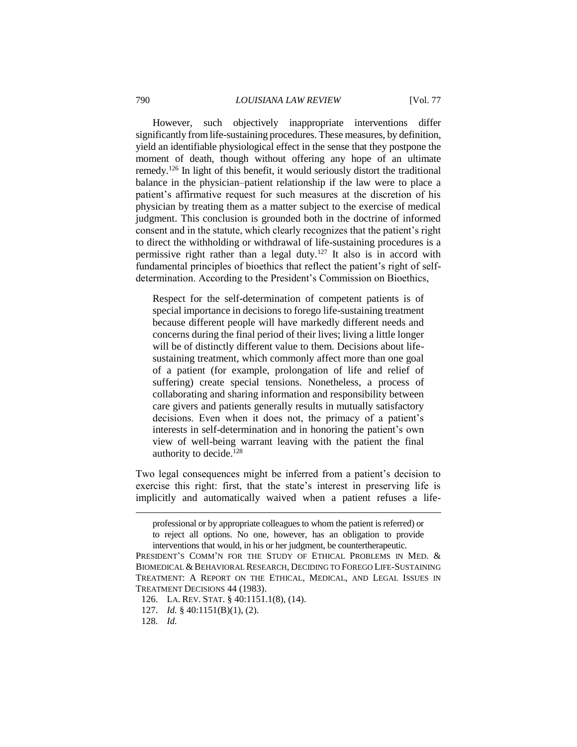#### 790 *LOUISIANA LAW REVIEW* [Vol. 77

However, such objectively inappropriate interventions differ significantly from life-sustaining procedures. These measures, by definition, yield an identifiable physiological effect in the sense that they postpone the moment of death, though without offering any hope of an ultimate remedy.<sup>126</sup> In light of this benefit, it would seriously distort the traditional balance in the physician–patient relationship if the law were to place a patient's affirmative request for such measures at the discretion of his physician by treating them as a matter subject to the exercise of medical judgment. This conclusion is grounded both in the doctrine of informed consent and in the statute, which clearly recognizes that the patient's right to direct the withholding or withdrawal of life-sustaining procedures is a permissive right rather than a legal duty.<sup>127</sup> It also is in accord with fundamental principles of bioethics that reflect the patient's right of selfdetermination. According to the President's Commission on Bioethics,

Respect for the self-determination of competent patients is of special importance in decisions to forego life-sustaining treatment because different people will have markedly different needs and concerns during the final period of their lives; living a little longer will be of distinctly different value to them. Decisions about lifesustaining treatment, which commonly affect more than one goal of a patient (for example, prolongation of life and relief of suffering) create special tensions. Nonetheless, a process of collaborating and sharing information and responsibility between care givers and patients generally results in mutually satisfactory decisions. Even when it does not, the primacy of a patient's interests in self-determination and in honoring the patient's own view of well-being warrant leaving with the patient the final authority to decide.<sup>128</sup>

Two legal consequences might be inferred from a patient's decision to exercise this right: first, that the state's interest in preserving life is implicitly and automatically waived when a patient refuses a life-

professional or by appropriate colleagues to whom the patient is referred) or to reject all options. No one, however, has an obligation to provide interventions that would, in his or her judgment, be countertherapeutic.

PRESIDENT'S COMM'N FOR THE STUDY OF ETHICAL PROBLEMS IN MED. & BIOMEDICAL & BEHAVIORAL RESEARCH, DECIDING TO FOREGO LIFE-SUSTAINING TREATMENT: A REPORT ON THE ETHICAL, MEDICAL, AND LEGAL ISSUES IN TREATMENT DECISIONS 44 (1983).

<sup>126.</sup> LA. REV. STAT. § 40:1151.1(8), (14).

<sup>127.</sup> *Id.* § 40:1151(B)(1), (2).

<sup>128.</sup> *Id.*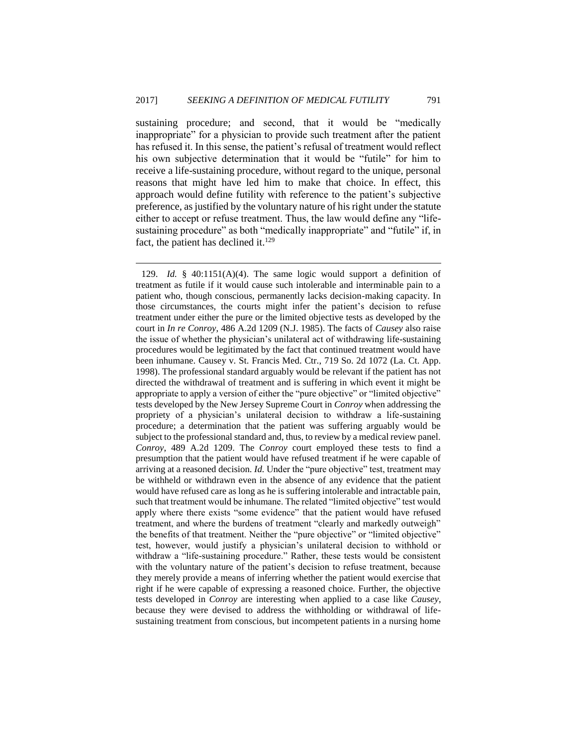sustaining procedure; and second, that it would be "medically inappropriate" for a physician to provide such treatment after the patient has refused it. In this sense, the patient's refusal of treatment would reflect his own subjective determination that it would be "futile" for him to receive a life-sustaining procedure, without regard to the unique, personal reasons that might have led him to make that choice. In effect, this approach would define futility with reference to the patient's subjective preference, as justified by the voluntary nature of his right under the statute either to accept or refuse treatment. Thus, the law would define any "lifesustaining procedure" as both "medically inappropriate" and "futile" if, in fact, the patient has declined it. $129$ 

<sup>129.</sup> *Id.* § 40:1151(A)(4). The same logic would support a definition of treatment as futile if it would cause such intolerable and interminable pain to a patient who, though conscious, permanently lacks decision-making capacity. In those circumstances, the courts might infer the patient's decision to refuse treatment under either the pure or the limited objective tests as developed by the court in *In re Conroy*, 486 A.2d 1209 (N.J. 1985). The facts of *Causey* also raise the issue of whether the physician's unilateral act of withdrawing life-sustaining procedures would be legitimated by the fact that continued treatment would have been inhumane. Causey v. St. Francis Med. Ctr., 719 So. 2d 1072 (La. Ct. App. 1998). The professional standard arguably would be relevant if the patient has not directed the withdrawal of treatment and is suffering in which event it might be appropriate to apply a version of either the "pure objective" or "limited objective" tests developed by the New Jersey Supreme Court in *Conroy* when addressing the propriety of a physician's unilateral decision to withdraw a life-sustaining procedure; a determination that the patient was suffering arguably would be subject to the professional standard and, thus, to review by a medical review panel. *Conroy*, 489 A.2d 1209. The *Conroy* court employed these tests to find a presumption that the patient would have refused treatment if he were capable of arriving at a reasoned decision. *Id.* Under the "pure objective" test, treatment may be withheld or withdrawn even in the absence of any evidence that the patient would have refused care as long as he is suffering intolerable and intractable pain, such that treatment would be inhumane. The related "limited objective" test would apply where there exists "some evidence" that the patient would have refused treatment, and where the burdens of treatment "clearly and markedly outweigh" the benefits of that treatment. Neither the "pure objective" or "limited objective" test, however, would justify a physician's unilateral decision to withhold or withdraw a "life-sustaining procedure." Rather, these tests would be consistent with the voluntary nature of the patient's decision to refuse treatment, because they merely provide a means of inferring whether the patient would exercise that right if he were capable of expressing a reasoned choice. Further, the objective tests developed in *Conroy* are interesting when applied to a case like *Causey*, because they were devised to address the withholding or withdrawal of lifesustaining treatment from conscious, but incompetent patients in a nursing home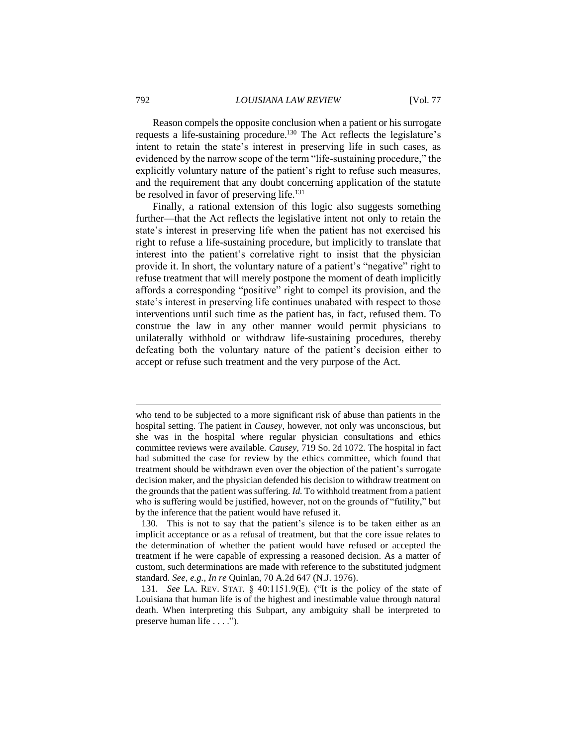Reason compels the opposite conclusion when a patient or his surrogate requests a life-sustaining procedure.<sup>130</sup> The Act reflects the legislature's intent to retain the state's interest in preserving life in such cases, as evidenced by the narrow scope of the term "life-sustaining procedure," the explicitly voluntary nature of the patient's right to refuse such measures, and the requirement that any doubt concerning application of the statute be resolved in favor of preserving life.<sup>131</sup>

Finally, a rational extension of this logic also suggests something further—that the Act reflects the legislative intent not only to retain the state's interest in preserving life when the patient has not exercised his right to refuse a life-sustaining procedure, but implicitly to translate that interest into the patient's correlative right to insist that the physician provide it. In short, the voluntary nature of a patient's "negative" right to refuse treatment that will merely postpone the moment of death implicitly affords a corresponding "positive" right to compel its provision, and the state's interest in preserving life continues unabated with respect to those interventions until such time as the patient has, in fact, refused them. To construe the law in any other manner would permit physicians to unilaterally withhold or withdraw life-sustaining procedures, thereby defeating both the voluntary nature of the patient's decision either to accept or refuse such treatment and the very purpose of the Act.

who tend to be subjected to a more significant risk of abuse than patients in the hospital setting. The patient in *Causey*, however, not only was unconscious, but she was in the hospital where regular physician consultations and ethics committee reviews were available. *Causey*, 719 So. 2d 1072. The hospital in fact had submitted the case for review by the ethics committee, which found that treatment should be withdrawn even over the objection of the patient's surrogate decision maker, and the physician defended his decision to withdraw treatment on the grounds that the patient was suffering. *Id.* To withhold treatment from a patient who is suffering would be justified, however, not on the grounds of "futility," but by the inference that the patient would have refused it.

<sup>130.</sup> This is not to say that the patient's silence is to be taken either as an implicit acceptance or as a refusal of treatment, but that the core issue relates to the determination of whether the patient would have refused or accepted the treatment if he were capable of expressing a reasoned decision. As a matter of custom, such determinations are made with reference to the substituted judgment standard. *See, e.g.*, *In re* Quinlan, 70 A.2d 647 (N.J. 1976).

<sup>131.</sup> *See* LA. REV. STAT. § 40:1151.9(E). ("It is the policy of the state of Louisiana that human life is of the highest and inestimable value through natural death. When interpreting this Subpart, any ambiguity shall be interpreted to preserve human life . . . .").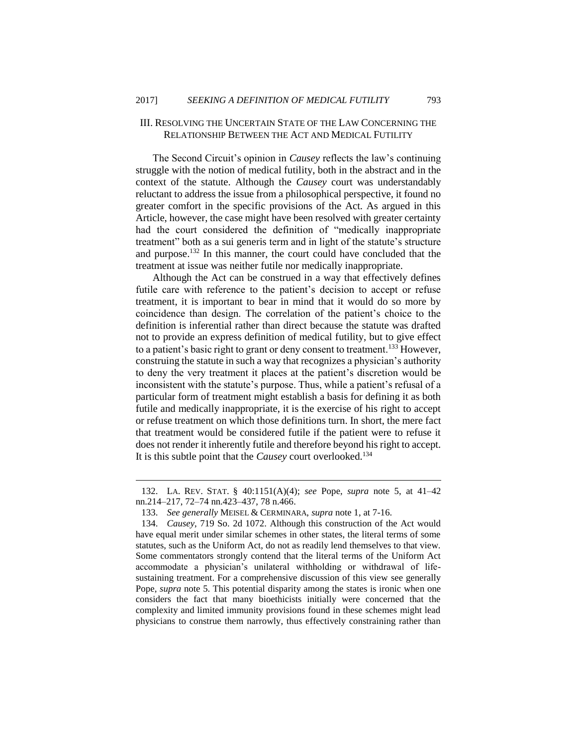#### III. RESOLVING THE UNCERTAIN STATE OF THE LAW CONCERNING THE RELATIONSHIP BETWEEN THE ACT AND MEDICAL FUTILITY

The Second Circuit's opinion in *Causey* reflects the law's continuing struggle with the notion of medical futility, both in the abstract and in the context of the statute. Although the *Causey* court was understandably reluctant to address the issue from a philosophical perspective, it found no greater comfort in the specific provisions of the Act. As argued in this Article, however, the case might have been resolved with greater certainty had the court considered the definition of "medically inappropriate treatment" both as a sui generis term and in light of the statute's structure and purpose.<sup>132</sup> In this manner, the court could have concluded that the treatment at issue was neither futile nor medically inappropriate.

Although the Act can be construed in a way that effectively defines futile care with reference to the patient's decision to accept or refuse treatment, it is important to bear in mind that it would do so more by coincidence than design. The correlation of the patient's choice to the definition is inferential rather than direct because the statute was drafted not to provide an express definition of medical futility, but to give effect to a patient's basic right to grant or deny consent to treatment.<sup>133</sup> However, construing the statute in such a way that recognizes a physician's authority to deny the very treatment it places at the patient's discretion would be inconsistent with the statute's purpose. Thus, while a patient's refusal of a particular form of treatment might establish a basis for defining it as both futile and medically inappropriate, it is the exercise of his right to accept or refuse treatment on which those definitions turn. In short, the mere fact that treatment would be considered futile if the patient were to refuse it does not render it inherently futile and therefore beyond his right to accept. It is this subtle point that the *Causey* court overlooked.<sup>134</sup>

<sup>132.</sup> LA. REV. STAT. § 40:1151(A)(4); *see* Pope, *supra* note 5, at 41–42 nn.214–217, 72–74 nn.423–437, 78 n.466.

<sup>133.</sup> *See generally* MEISEL & CERMINARA, *supra* note 1, at 7-16.

<sup>134.</sup> *Causey*, 719 So. 2d 1072. Although this construction of the Act would have equal merit under similar schemes in other states, the literal terms of some statutes, such as the Uniform Act, do not as readily lend themselves to that view. Some commentators strongly contend that the literal terms of the Uniform Act accommodate a physician's unilateral withholding or withdrawal of lifesustaining treatment. For a comprehensive discussion of this view see generally Pope, *supra* note 5. This potential disparity among the states is ironic when one considers the fact that many bioethicists initially were concerned that the complexity and limited immunity provisions found in these schemes might lead physicians to construe them narrowly, thus effectively constraining rather than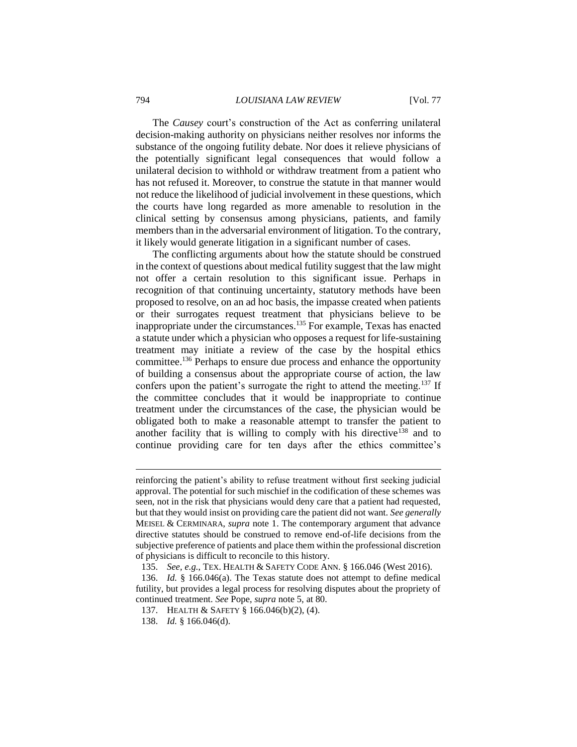The *Causey* court's construction of the Act as conferring unilateral decision-making authority on physicians neither resolves nor informs the substance of the ongoing futility debate. Nor does it relieve physicians of the potentially significant legal consequences that would follow a unilateral decision to withhold or withdraw treatment from a patient who has not refused it. Moreover, to construe the statute in that manner would not reduce the likelihood of judicial involvement in these questions, which the courts have long regarded as more amenable to resolution in the clinical setting by consensus among physicians, patients, and family members than in the adversarial environment of litigation. To the contrary, it likely would generate litigation in a significant number of cases.

The conflicting arguments about how the statute should be construed in the context of questions about medical futility suggest that the law might not offer a certain resolution to this significant issue. Perhaps in recognition of that continuing uncertainty, statutory methods have been proposed to resolve, on an ad hoc basis, the impasse created when patients or their surrogates request treatment that physicians believe to be inappropriate under the circumstances.<sup>135</sup> For example, Texas has enacted a statute under which a physician who opposes a request for life-sustaining treatment may initiate a review of the case by the hospital ethics committee.<sup>136</sup> Perhaps to ensure due process and enhance the opportunity of building a consensus about the appropriate course of action, the law confers upon the patient's surrogate the right to attend the meeting.<sup>137</sup> If the committee concludes that it would be inappropriate to continue treatment under the circumstances of the case, the physician would be obligated both to make a reasonable attempt to transfer the patient to another facility that is willing to comply with his directive<sup>138</sup> and to continue providing care for ten days after the ethics committee's

reinforcing the patient's ability to refuse treatment without first seeking judicial approval. The potential for such mischief in the codification of these schemes was seen, not in the risk that physicians would deny care that a patient had requested, but that they would insist on providing care the patient did not want. *See generally* MEISEL & CERMINARA, *supra* note 1. The contemporary argument that advance directive statutes should be construed to remove end-of-life decisions from the subjective preference of patients and place them within the professional discretion of physicians is difficult to reconcile to this history.

<sup>135.</sup> *See, e.g.*, TEX. HEALTH & SAFETY CODE ANN. § 166.046 (West 2016).

<sup>136.</sup> *Id.* § 166.046(a). The Texas statute does not attempt to define medical futility, but provides a legal process for resolving disputes about the propriety of continued treatment. *See* Pope, *supra* note 5, at 80.

<sup>137.</sup> HEALTH & SAFETY § 166.046(b)(2), (4).

<sup>138.</sup> *Id.* § 166.046(d).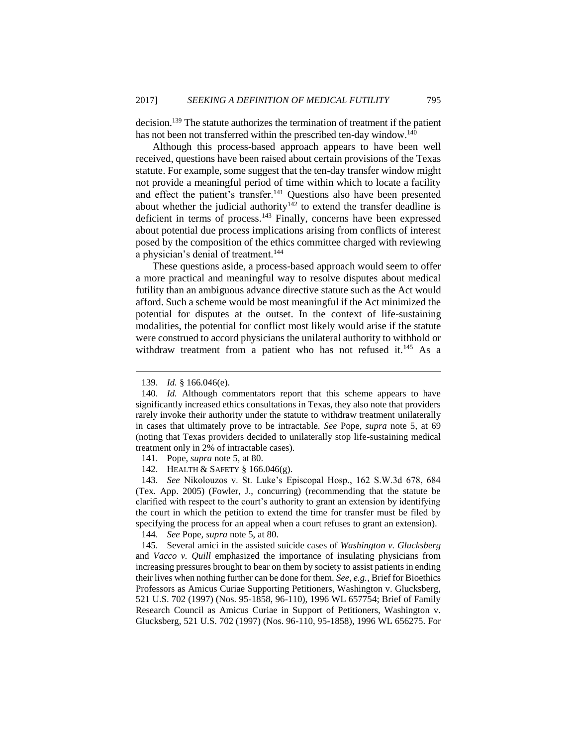decision.<sup>139</sup> The statute authorizes the termination of treatment if the patient has not been not transferred within the prescribed ten-day window.<sup>140</sup>

Although this process-based approach appears to have been well received, questions have been raised about certain provisions of the Texas statute. For example, some suggest that the ten-day transfer window might not provide a meaningful period of time within which to locate a facility and effect the patient's transfer.<sup>141</sup> Questions also have been presented about whether the judicial authority $142$  to extend the transfer deadline is deficient in terms of process.<sup>143</sup> Finally, concerns have been expressed about potential due process implications arising from conflicts of interest posed by the composition of the ethics committee charged with reviewing a physician's denial of treatment.<sup>144</sup>

These questions aside, a process-based approach would seem to offer a more practical and meaningful way to resolve disputes about medical futility than an ambiguous advance directive statute such as the Act would afford. Such a scheme would be most meaningful if the Act minimized the potential for disputes at the outset. In the context of life-sustaining modalities, the potential for conflict most likely would arise if the statute were construed to accord physicians the unilateral authority to withhold or withdraw treatment from a patient who has not refused it.<sup>145</sup> As a

 $\overline{a}$ 

143. *See* Nikolouzos v. St. Luke's Episcopal Hosp., 162 S.W.3d 678, 684 (Tex. App. 2005) (Fowler, J., concurring) (recommending that the statute be clarified with respect to the court's authority to grant an extension by identifying the court in which the petition to extend the time for transfer must be filed by specifying the process for an appeal when a court refuses to grant an extension).

144. *See* Pope, *supra* note 5, at 80.

145. Several amici in the assisted suicide cases of *Washington v. Glucksberg* and *Vacco v. Quill* emphasized the importance of insulating physicians from increasing pressures brought to bear on them by society to assist patients in ending their lives when nothing further can be done for them. *See, e.g.*, Brief for Bioethics Professors as Amicus Curiae Supporting Petitioners, Washington v. Glucksberg, 521 U.S. 702 (1997) (Nos. 95-1858, 96-110), 1996 WL 657754; Brief of Family Research Council as Amicus Curiae in Support of Petitioners, Washington v. Glucksberg, 521 U.S. 702 (1997) (Nos. 96-110, 95-1858), 1996 WL 656275. For

<sup>139.</sup> *Id.* § 166.046(e).

<sup>140.</sup> *Id.* Although commentators report that this scheme appears to have significantly increased ethics consultations in Texas, they also note that providers rarely invoke their authority under the statute to withdraw treatment unilaterally in cases that ultimately prove to be intractable. *See* Pope, *supra* note 5, at 69 (noting that Texas providers decided to unilaterally stop life-sustaining medical treatment only in 2% of intractable cases).

<sup>141.</sup> Pope, *supra* note 5, at 80.

<sup>142.</sup> HEALTH & SAFETY § 166.046(g).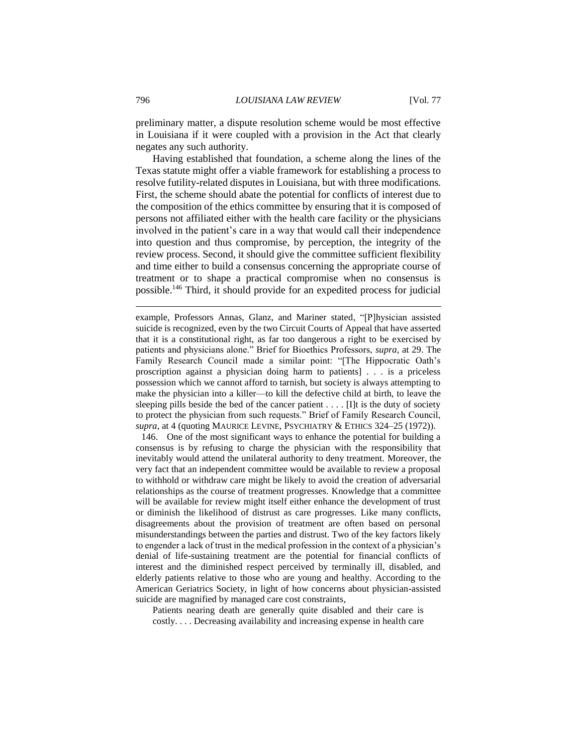preliminary matter, a dispute resolution scheme would be most effective in Louisiana if it were coupled with a provision in the Act that clearly negates any such authority.

Having established that foundation, a scheme along the lines of the Texas statute might offer a viable framework for establishing a process to resolve futility-related disputes in Louisiana, but with three modifications. First, the scheme should abate the potential for conflicts of interest due to the composition of the ethics committee by ensuring that it is composed of persons not affiliated either with the health care facility or the physicians involved in the patient's care in a way that would call their independence into question and thus compromise, by perception, the integrity of the review process. Second, it should give the committee sufficient flexibility and time either to build a consensus concerning the appropriate course of treatment or to shape a practical compromise when no consensus is possible.<sup>146</sup> Third, it should provide for an expedited process for judicial

example, Professors Annas, Glanz, and Mariner stated, "[P]hysician assisted suicide is recognized, even by the two Circuit Courts of Appeal that have asserted that it is a constitutional right, as far too dangerous a right to be exercised by patients and physicians alone." Brief for Bioethics Professors, *supra*, at 29. The Family Research Council made a similar point: "[The Hippocratic Oath's proscription against a physician doing harm to patients] . . . is a priceless possession which we cannot afford to tarnish, but society is always attempting to make the physician into a killer—to kill the defective child at birth, to leave the sleeping pills beside the bed of the cancer patient . . . . [I]t is the duty of society to protect the physician from such requests." Brief of Family Research Council, *supra*, at 4 (quoting MAURICE LEVINE, PSYCHIATRY & ETHICS 324–25 (1972)).

146. One of the most significant ways to enhance the potential for building a consensus is by refusing to charge the physician with the responsibility that inevitably would attend the unilateral authority to deny treatment. Moreover, the very fact that an independent committee would be available to review a proposal to withhold or withdraw care might be likely to avoid the creation of adversarial relationships as the course of treatment progresses. Knowledge that a committee will be available for review might itself either enhance the development of trust or diminish the likelihood of distrust as care progresses. Like many conflicts, disagreements about the provision of treatment are often based on personal misunderstandings between the parties and distrust. Two of the key factors likely to engender a lack of trust in the medical profession in the context of a physician's denial of life-sustaining treatment are the potential for financial conflicts of interest and the diminished respect perceived by terminally ill, disabled, and elderly patients relative to those who are young and healthy. According to the American Geriatrics Society, in light of how concerns about physician-assisted suicide are magnified by managed care cost constraints,

Patients nearing death are generally quite disabled and their care is costly. . . . Decreasing availability and increasing expense in health care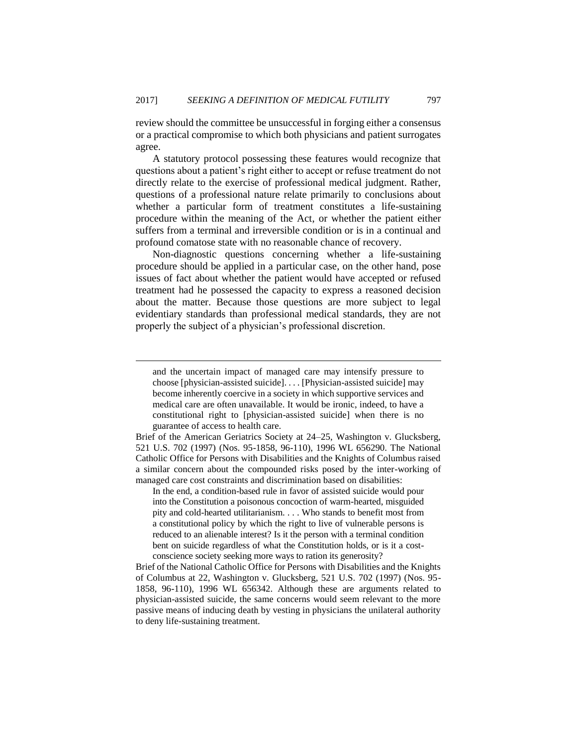review should the committee be unsuccessful in forging either a consensus or a practical compromise to which both physicians and patient surrogates agree.

A statutory protocol possessing these features would recognize that questions about a patient's right either to accept or refuse treatment do not directly relate to the exercise of professional medical judgment. Rather, questions of a professional nature relate primarily to conclusions about whether a particular form of treatment constitutes a life-sustaining procedure within the meaning of the Act, or whether the patient either suffers from a terminal and irreversible condition or is in a continual and profound comatose state with no reasonable chance of recovery.

Non-diagnostic questions concerning whether a life-sustaining procedure should be applied in a particular case, on the other hand, pose issues of fact about whether the patient would have accepted or refused treatment had he possessed the capacity to express a reasoned decision about the matter. Because those questions are more subject to legal evidentiary standards than professional medical standards, they are not properly the subject of a physician's professional discretion.

 $\overline{a}$ 

Brief of the American Geriatrics Society at 24–25, Washington v. Glucksberg, 521 U.S. 702 (1997) (Nos. 95-1858, 96-110), 1996 WL 656290. The National Catholic Office for Persons with Disabilities and the Knights of Columbus raised a similar concern about the compounded risks posed by the inter-working of managed care cost constraints and discrimination based on disabilities:

In the end, a condition-based rule in favor of assisted suicide would pour into the Constitution a poisonous concoction of warm-hearted, misguided pity and cold-hearted utilitarianism. . . . Who stands to benefit most from a constitutional policy by which the right to live of vulnerable persons is reduced to an alienable interest? Is it the person with a terminal condition bent on suicide regardless of what the Constitution holds, or is it a costconscience society seeking more ways to ration its generosity?

Brief of the National Catholic Office for Persons with Disabilities and the Knights of Columbus at 22, Washington v. Glucksberg, 521 U.S. 702 (1997) (Nos. 95- 1858, 96-110), 1996 WL 656342. Although these are arguments related to physician-assisted suicide, the same concerns would seem relevant to the more passive means of inducing death by vesting in physicians the unilateral authority to deny life-sustaining treatment.

and the uncertain impact of managed care may intensify pressure to choose [physician-assisted suicide]. . . . [Physician-assisted suicide] may become inherently coercive in a society in which supportive services and medical care are often unavailable. It would be ironic, indeed, to have a constitutional right to [physician-assisted suicide] when there is no guarantee of access to health care.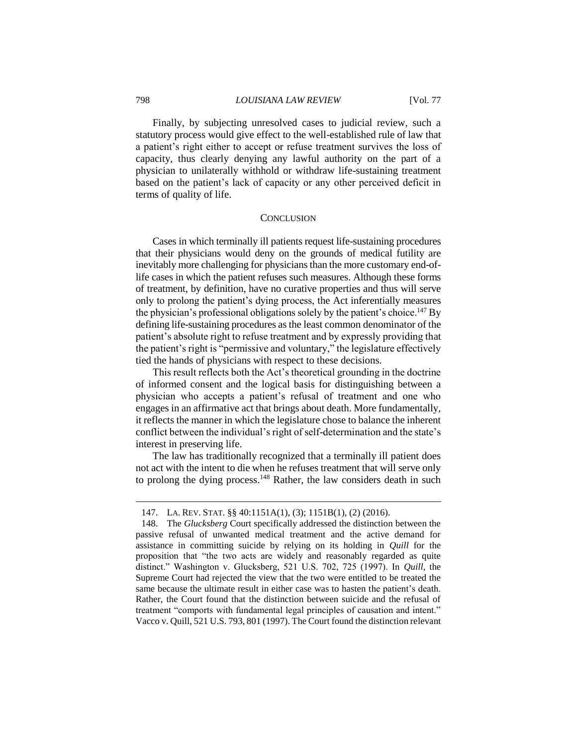#### 798 *LOUISIANA LAW REVIEW* [Vol. 77

Finally, by subjecting unresolved cases to judicial review, such a statutory process would give effect to the well-established rule of law that a patient's right either to accept or refuse treatment survives the loss of capacity, thus clearly denying any lawful authority on the part of a physician to unilaterally withhold or withdraw life-sustaining treatment based on the patient's lack of capacity or any other perceived deficit in terms of quality of life.

#### **CONCLUSION**

Cases in which terminally ill patients request life-sustaining procedures that their physicians would deny on the grounds of medical futility are inevitably more challenging for physicians than the more customary end-oflife cases in which the patient refuses such measures. Although these forms of treatment, by definition, have no curative properties and thus will serve only to prolong the patient's dying process, the Act inferentially measures the physician's professional obligations solely by the patient's choice.<sup>147</sup> By defining life-sustaining procedures as the least common denominator of the patient's absolute right to refuse treatment and by expressly providing that the patient's right is "permissive and voluntary," the legislature effectively tied the hands of physicians with respect to these decisions.

This result reflects both the Act's theoretical grounding in the doctrine of informed consent and the logical basis for distinguishing between a physician who accepts a patient's refusal of treatment and one who engages in an affirmative act that brings about death. More fundamentally, it reflects the manner in which the legislature chose to balance the inherent conflict between the individual's right of self-determination and the state's interest in preserving life.

The law has traditionally recognized that a terminally ill patient does not act with the intent to die when he refuses treatment that will serve only to prolong the dying process.<sup>148</sup> Rather, the law considers death in such

<sup>147.</sup> LA. REV. STAT. §§ 40:1151A(1), (3); 1151B(1), (2) (2016).

<sup>148.</sup> The *Glucksberg* Court specifically addressed the distinction between the passive refusal of unwanted medical treatment and the active demand for assistance in committing suicide by relying on its holding in *Quill* for the proposition that "the two acts are widely and reasonably regarded as quite distinct." Washington v. Glucksberg, 521 U.S. 702, 725 (1997). In *Quill*, the Supreme Court had rejected the view that the two were entitled to be treated the same because the ultimate result in either case was to hasten the patient's death. Rather, the Court found that the distinction between suicide and the refusal of treatment "comports with fundamental legal principles of causation and intent." Vacco v. Quill, 521 U.S. 793, 801 (1997). The Court found the distinction relevant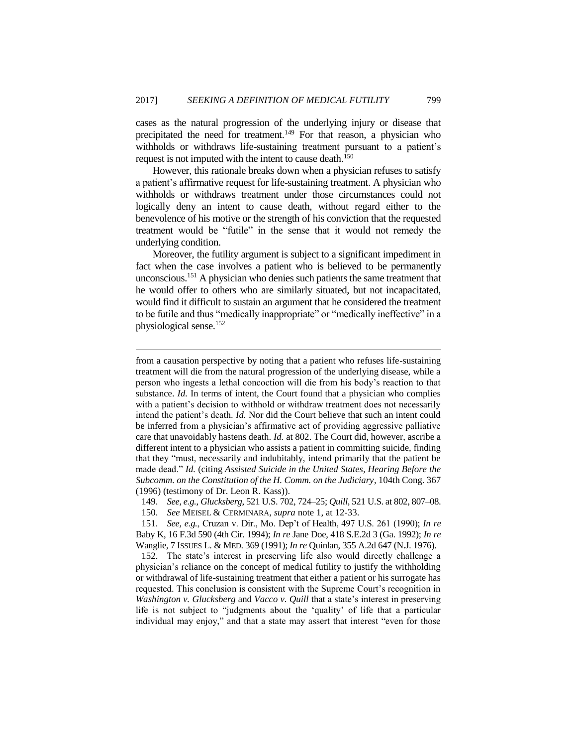cases as the natural progression of the underlying injury or disease that precipitated the need for treatment.<sup>149</sup> For that reason, a physician who withholds or withdraws life-sustaining treatment pursuant to a patient's request is not imputed with the intent to cause death.<sup>150</sup>

However, this rationale breaks down when a physician refuses to satisfy a patient's affirmative request for life-sustaining treatment. A physician who withholds or withdraws treatment under those circumstances could not logically deny an intent to cause death, without regard either to the benevolence of his motive or the strength of his conviction that the requested treatment would be "futile" in the sense that it would not remedy the underlying condition.

Moreover, the futility argument is subject to a significant impediment in fact when the case involves a patient who is believed to be permanently unconscious.<sup>151</sup> A physician who denies such patients the same treatment that he would offer to others who are similarly situated, but not incapacitated, would find it difficult to sustain an argument that he considered the treatment to be futile and thus "medically inappropriate" or "medically ineffective" in a physiological sense.<sup>152</sup>

 $\overline{a}$ 

152. The state's interest in preserving life also would directly challenge a physician's reliance on the concept of medical futility to justify the withholding or withdrawal of life-sustaining treatment that either a patient or his surrogate has requested. This conclusion is consistent with the Supreme Court's recognition in *Washington v. Glucksberg* and *Vacco v. Quill* that a state's interest in preserving life is not subject to "judgments about the 'quality' of life that a particular individual may enjoy," and that a state may assert that interest "even for those

from a causation perspective by noting that a patient who refuses life-sustaining treatment will die from the natural progression of the underlying disease, while a person who ingests a lethal concoction will die from his body's reaction to that substance. *Id.* In terms of intent, the Court found that a physician who complies with a patient's decision to withhold or withdraw treatment does not necessarily intend the patient's death. *Id.* Nor did the Court believe that such an intent could be inferred from a physician's affirmative act of providing aggressive palliative care that unavoidably hastens death. *Id.* at 802. The Court did, however, ascribe a different intent to a physician who assists a patient in committing suicide, finding that they "must, necessarily and indubitably, intend primarily that the patient be made dead." *Id.* (citing *Assisted Suicide in the United States, Hearing Before the Subcomm. on the Constitution of the H. Comm. on the Judiciary*, 104th Cong. 367 (1996) (testimony of Dr. Leon R. Kass)).

<sup>149.</sup> *See, e.g.*, *Glucksberg*, 521 U.S. 702, 724–25; *Quill*, 521 U.S. at 802, 807–08.

<sup>150.</sup> *See* MEISEL & CERMINARA, *supra* note 1, at 12-33.

<sup>151.</sup> *See, e.g.*, Cruzan v. Dir., Mo. Dep't of Health, 497 U.S. 261 (1990); *In re* Baby K, 16 F.3d 590 (4th Cir. 1994); *In re* Jane Doe, 418 S.E.2d 3 (Ga. 1992); *In re*  Wanglie, 7 ISSUES L. & MED. 369 (1991); *In re* Quinlan, 355 A.2d 647 (N.J. 1976).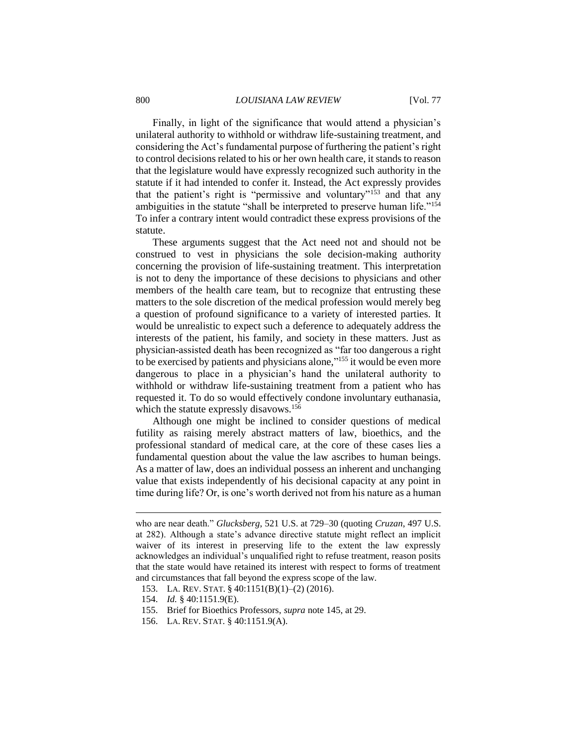Finally, in light of the significance that would attend a physician's unilateral authority to withhold or withdraw life-sustaining treatment, and considering the Act's fundamental purpose of furthering the patient's right to control decisions related to his or her own health care, it stands to reason that the legislature would have expressly recognized such authority in the statute if it had intended to confer it. Instead, the Act expressly provides that the patient's right is "permissive and voluntary"<sup>153</sup> and that any ambiguities in the statute "shall be interpreted to preserve human life."<sup>154</sup> To infer a contrary intent would contradict these express provisions of the statute.

These arguments suggest that the Act need not and should not be construed to vest in physicians the sole decision-making authority concerning the provision of life-sustaining treatment. This interpretation is not to deny the importance of these decisions to physicians and other members of the health care team, but to recognize that entrusting these matters to the sole discretion of the medical profession would merely beg a question of profound significance to a variety of interested parties. It would be unrealistic to expect such a deference to adequately address the interests of the patient, his family, and society in these matters. Just as physician-assisted death has been recognized as "far too dangerous a right to be exercised by patients and physicians alone," <sup>155</sup> it would be even more dangerous to place in a physician's hand the unilateral authority to withhold or withdraw life-sustaining treatment from a patient who has requested it. To do so would effectively condone involuntary euthanasia, which the statute expressly disavows.<sup>156</sup>

Although one might be inclined to consider questions of medical futility as raising merely abstract matters of law, bioethics, and the professional standard of medical care, at the core of these cases lies a fundamental question about the value the law ascribes to human beings. As a matter of law, does an individual possess an inherent and unchanging value that exists independently of his decisional capacity at any point in time during life? Or, is one's worth derived not from his nature as a human

 $\overline{a}$ 

156. LA. REV. STAT. § 40:1151.9(A).

who are near death." *Glucksberg*, 521 U.S. at 729–30 (quoting *Cruzan*, 497 U.S. at 282). Although a state's advance directive statute might reflect an implicit waiver of its interest in preserving life to the extent the law expressly acknowledges an individual's unqualified right to refuse treatment, reason posits that the state would have retained its interest with respect to forms of treatment and circumstances that fall beyond the express scope of the law.

<sup>153.</sup> LA. REV. STAT. § 40:1151(B)(1)–(2) (2016).

<sup>154.</sup> *Id.* § 40:1151.9(E).

<sup>155.</sup> Brief for Bioethics Professors, *supra* note 145, at 29.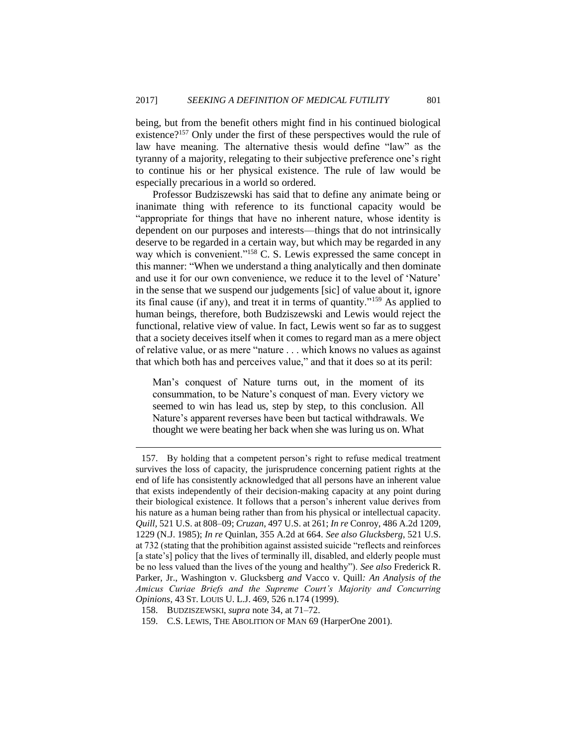being, but from the benefit others might find in his continued biological existence?<sup>157</sup> Only under the first of these perspectives would the rule of law have meaning. The alternative thesis would define "law" as the tyranny of a majority, relegating to their subjective preference one's right to continue his or her physical existence. The rule of law would be especially precarious in a world so ordered.

Professor Budziszewski has said that to define any animate being or inanimate thing with reference to its functional capacity would be "appropriate for things that have no inherent nature, whose identity is dependent on our purposes and interests—things that do not intrinsically deserve to be regarded in a certain way, but which may be regarded in any way which is convenient."<sup>158</sup> C. S. Lewis expressed the same concept in this manner: "When we understand a thing analytically and then dominate and use it for our own convenience, we reduce it to the level of 'Nature' in the sense that we suspend our judgements [sic] of value about it, ignore its final cause (if any), and treat it in terms of quantity."<sup>159</sup> As applied to human beings, therefore, both Budziszewski and Lewis would reject the functional, relative view of value. In fact, Lewis went so far as to suggest that a society deceives itself when it comes to regard man as a mere object of relative value, or as mere "nature . . . which knows no values as against that which both has and perceives value," and that it does so at its peril:

Man's conquest of Nature turns out, in the moment of its consummation, to be Nature's conquest of man. Every victory we seemed to win has lead us, step by step, to this conclusion. All Nature's apparent reverses have been but tactical withdrawals. We thought we were beating her back when she was luring us on. What

<sup>157.</sup> By holding that a competent person's right to refuse medical treatment survives the loss of capacity, the jurisprudence concerning patient rights at the end of life has consistently acknowledged that all persons have an inherent value that exists independently of their decision-making capacity at any point during their biological existence. It follows that a person's inherent value derives from his nature as a human being rather than from his physical or intellectual capacity. *Quill,* 521 U.S. at 808–09; *Cruzan*, 497 U.S. at 261; *In re* Conroy, 486 A.2d 1209, 1229 (N.J. 1985); *In re* Quinlan, 355 A.2d at 664. *See also Glucksberg*, 521 U.S. at 732 (stating that the prohibition against assisted suicide "reflects and reinforces [a state's] policy that the lives of terminally ill, disabled, and elderly people must be no less valued than the lives of the young and healthy"). *See also* Frederick R. Parker, Jr., Washington v. Glucksberg *and* Vacco v. Quill*: An Analysis of the Amicus Curiae Briefs and the Supreme Court's Majority and Concurring Opinions*, 43 ST. LOUIS U. L.J. 469, 526 n.174 (1999).

<sup>158.</sup> BUDZISZEWSKI, *supra* note 34, at 71–72.

<sup>159.</sup> C.S. LEWIS, THE ABOLITION OF MAN 69 (HarperOne 2001).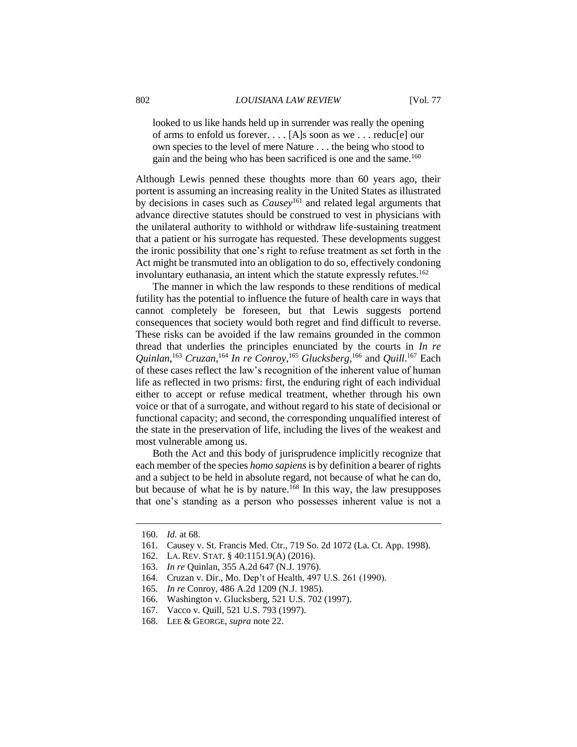looked to us like hands held up in surrender was really the opening of arms to enfold us forever. . . . [A]s soon as we . . . reduc[e] our own species to the level of mere Nature . . . the being who stood to gain and the being who has been sacrificed is one and the same.<sup>160</sup>

Although Lewis penned these thoughts more than 60 years ago, their portent is assuming an increasing reality in the United States as illustrated by decisions in cases such as *Causey*<sup>161</sup> and related legal arguments that advance directive statutes should be construed to vest in physicians with the unilateral authority to withhold or withdraw life-sustaining treatment that a patient or his surrogate has requested. These developments suggest the ironic possibility that one's right to refuse treatment as set forth in the Act might be transmuted into an obligation to do so, effectively condoning involuntary euthanasia, an intent which the statute expressly refutes.<sup>162</sup>

The manner in which the law responds to these renditions of medical futility has the potential to influence the future of health care in ways that cannot completely be foreseen, but that Lewis suggests portend consequences that society would both regret and find difficult to reverse. These risks can be avoided if the law remains grounded in the common thread that underlies the principles enunciated by the courts in *In re Quinlan*, <sup>163</sup> *Cruzan*, <sup>164</sup> *In re Conroy*, <sup>165</sup> *Glucksberg*, <sup>166</sup> and *Quill*. <sup>167</sup> Each of these cases reflect the law's recognition of the inherent value of human life as reflected in two prisms: first, the enduring right of each individual either to accept or refuse medical treatment, whether through his own voice or that of a surrogate, and without regard to his state of decisional or functional capacity; and second, the corresponding unqualified interest of the state in the preservation of life, including the lives of the weakest and most vulnerable among us.

Both the Act and this body of jurisprudence implicitly recognize that each member of the species *homo sapiens* is by definition a bearer of rights and a subject to be held in absolute regard, not because of what he can do, but because of what he is by nature.<sup>168</sup> In this way, the law presupposes that one's standing as a person who possesses inherent value is not a

<sup>160.</sup> *Id.* at 68.

<sup>161.</sup> Causey v. St. Francis Med. Ctr., 719 So. 2d 1072 (La. Ct. App. 1998).

<sup>162.</sup> LA. REV. STAT. § 40:1151.9(A) (2016).

<sup>163.</sup> *In re* Quinlan, 355 A.2d 647 (N.J. 1976).

<sup>164.</sup> Cruzan v. Dir., Mo. Dep't of Health, 497 U.S. 261 (1990).

<sup>165.</sup> *In re* Conroy, 486 A.2d 1209 (N.J. 1985).

<sup>166.</sup> Washington v. Glucksberg, 521 U.S. 702 (1997).

<sup>167.</sup> Vacco v. Quill, 521 U.S. 793 (1997).

<sup>168.</sup> LEE & GEORGE, *supra* note 22.